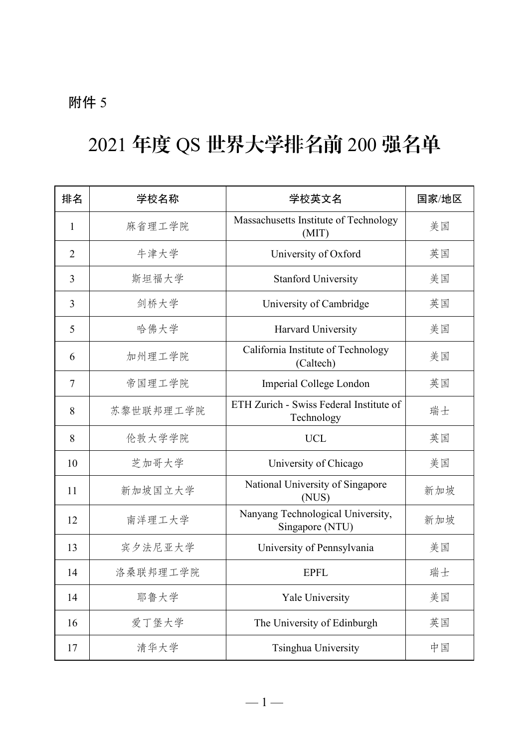#### 附件 5

### 2021 年度 QS 世界大学排名前 200 强名单

| 排名             | 学校名称      | 学校英文名                                                 | 国家/地区 |
|----------------|-----------|-------------------------------------------------------|-------|
| 1              | 麻省理工学院    | Massachusetts Institute of Technology<br>(MIT)        | 美国    |
| $\overline{2}$ | 牛津大学      | University of Oxford                                  | 英国    |
| 3              | 斯坦福大学     | <b>Stanford University</b>                            | 美国    |
| 3              | 剑桥大学      | University of Cambridge                               | 英国    |
| 5              | 哈佛大学      | Harvard University                                    | 美国    |
| 6              | 加州理工学院    | California Institute of Technology<br>(Caltech)       | 美国    |
| 7              | 帝国理工学院    | Imperial College London                               | 英国    |
| 8              | 苏黎世联邦理工学院 | ETH Zurich - Swiss Federal Institute of<br>Technology | 瑞士    |
| 8              | 伦敦大学学院    | <b>UCL</b>                                            | 英国    |
| 10             | 芝加哥大学     | University of Chicago                                 | 美国    |
| 11             | 新加坡国立大学   | National University of Singapore<br>(NUS)             | 新加坡   |
| 12             | 南洋理工大学    | Nanyang Technological University,<br>Singapore (NTU)  | 新加坡   |
| 13             | 宾夕法尼亚大学   | University of Pennsylvania                            | 美国    |
| 14             | 洛桑联邦理工学院  | <b>EPFL</b>                                           | 瑞士    |
| 14             | 耶鲁大学      | Yale University                                       | 美国    |
| 16             | 爱丁堡大学     | The University of Edinburgh                           | 英国    |
| 17             | 清华大学      | Tsinghua University                                   | 中国    |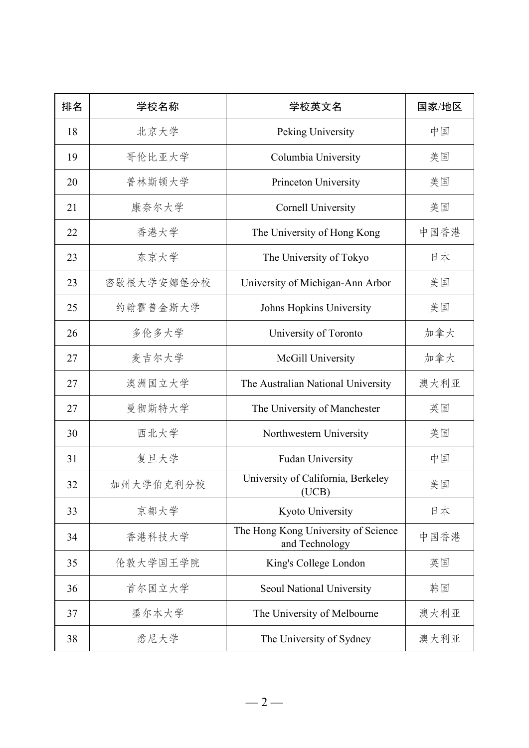| 排名 | 学校名称       | 学校英文名                                                 | 国家/地区 |
|----|------------|-------------------------------------------------------|-------|
| 18 | 北京大学       | Peking University                                     | 中国    |
| 19 | 哥伦比亚大学     | Columbia University                                   | 美国    |
| 20 | 普林斯顿大学     | Princeton University                                  | 美国    |
| 21 | 康奈尔大学      | <b>Cornell University</b>                             | 美国    |
| 22 | 香港大学       | The University of Hong Kong                           | 中国香港  |
| 23 | 东京大学       | The University of Tokyo                               | 日本    |
| 23 | 密歇根大学安娜堡分校 | University of Michigan-Ann Arbor                      | 美国    |
| 25 | 约翰霍普金斯大学   | Johns Hopkins University                              | 美国    |
| 26 | 多伦多大学      | University of Toronto                                 | 加拿大   |
| 27 | 麦吉尔大学      | McGill University                                     | 加拿大   |
| 27 | 澳洲国立大学     | The Australian National University                    | 澳大利亚  |
| 27 | 曼彻斯特大学     | The University of Manchester                          | 英国    |
| 30 | 西北大学       | Northwestern University                               | 美国    |
| 31 | 复旦大学       | Fudan University                                      | 中国    |
| 32 | 加州大学伯克利分校  | University of California, Berkeley<br>(UCB)           | 美国    |
| 33 | 京都大学       | Kyoto University                                      | 日本    |
| 34 | 香港科技大学     | The Hong Kong University of Science<br>and Technology | 中国香港  |
| 35 | 伦敦大学国王学院   | King's College London                                 | 英国    |
| 36 | 首尔国立大学     | Seoul National University                             | 韩国    |
| 37 | 墨尔本大学      | The University of Melbourne                           | 澳大利亚  |
| 38 | 悉尼大学       | The University of Sydney                              | 澳大利亚  |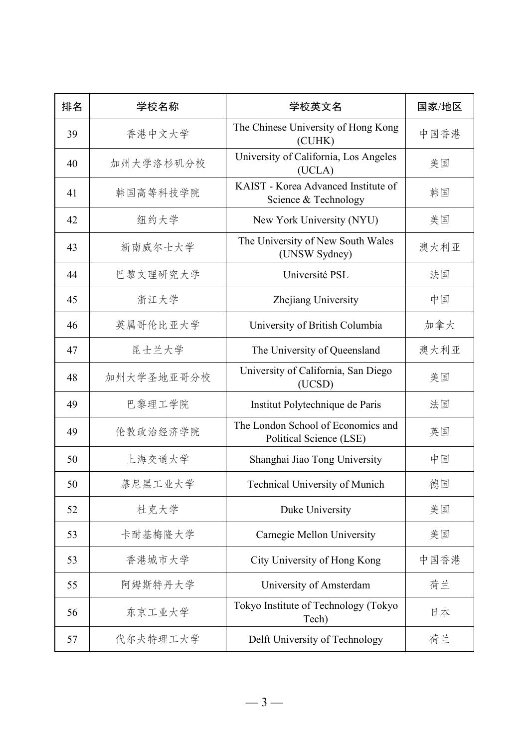| 排名 | 学校名称       | 学校英文名                                                         | 国家/地区 |
|----|------------|---------------------------------------------------------------|-------|
| 39 | 香港中文大学     | The Chinese University of Hong Kong<br>(CUHK)                 | 中国香港  |
| 40 | 加州大学洛杉矶分校  | University of California, Los Angeles<br>(UCLA)               | 美国    |
| 41 | 韩国高等科技学院   | KAIST - Korea Advanced Institute of<br>Science & Technology   | 韩国    |
| 42 | 纽约大学       | New York University (NYU)                                     | 美国    |
| 43 | 新南威尔士大学    | The University of New South Wales<br>(UNSW Sydney)            | 澳大利亚  |
| 44 | 巴黎文理研究大学   | Université PSL                                                | 法国    |
| 45 | 浙江大学       | Zhejiang University                                           | 中国    |
| 46 | 英属哥伦比亚大学   | University of British Columbia                                | 加拿大   |
| 47 | 昆士兰大学      | The University of Queensland                                  | 澳大利亚  |
| 48 | 加州大学圣地亚哥分校 | University of California, San Diego<br>(UCSD)                 | 美国    |
| 49 | 巴黎理工学院     | Institut Polytechnique de Paris                               | 法国    |
| 49 | 伦敦政治经济学院   | The London School of Economics and<br>Political Science (LSE) | 英国    |
| 50 | 上海交通大学     | Shanghai Jiao Tong University                                 | 中国    |
| 50 | 慕尼黑工业大学    | Technical University of Munich                                | 德国    |
| 52 | 杜克大学       | Duke University                                               | 美国    |
| 53 | 卡耐基梅隆大学    | Carnegie Mellon University                                    | 美国    |
| 53 | 香港城市大学     | City University of Hong Kong                                  | 中国香港  |
| 55 | 阿姆斯特丹大学    | University of Amsterdam                                       | 荷兰    |
| 56 | 东京工业大学     | Tokyo Institute of Technology (Tokyo<br>Tech)                 | 日本    |
| 57 | 代尔夫特理工大学   | Delft University of Technology                                | 荷兰    |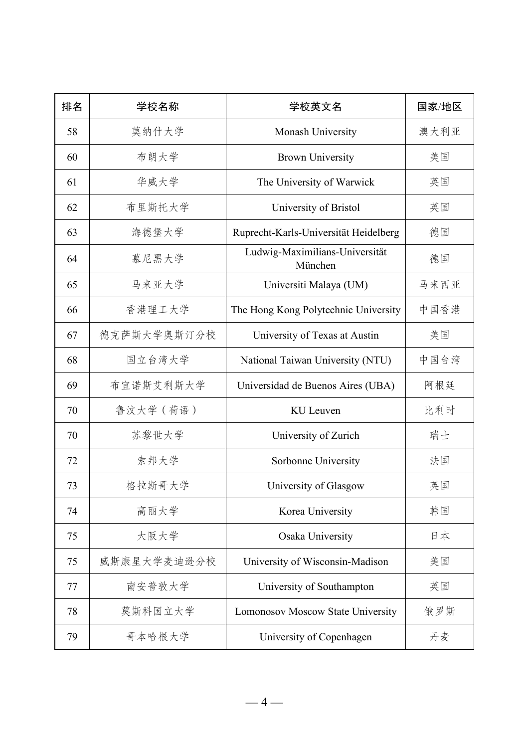| 排名 | 学校名称        | 学校英文名                                     | 国家/地区 |
|----|-------------|-------------------------------------------|-------|
| 58 | 莫纳什大学       | Monash University                         | 澳大利亚  |
| 60 | 布朗大学        | <b>Brown University</b>                   | 美国    |
| 61 | 华威大学        | The University of Warwick                 | 英国    |
| 62 | 布里斯托大学      | University of Bristol                     | 英国    |
| 63 | 海德堡大学       | Ruprecht-Karls-Universität Heidelberg     | 德国    |
| 64 | 慕尼黑大学       | Ludwig-Maximilians-Universität<br>München | 德国    |
| 65 | 马来亚大学       | Universiti Malaya (UM)                    | 马来西亚  |
| 66 | 香港理工大学      | The Hong Kong Polytechnic University      | 中国香港  |
| 67 | 德克萨斯大学奥斯汀分校 | University of Texas at Austin             | 美国    |
| 68 | 国立台湾大学      | National Taiwan University (NTU)          | 中国台湾  |
| 69 | 布宜诺斯艾利斯大学   | Universidad de Buenos Aires (UBA)         | 阿根廷   |
| 70 | 鲁汶大学 (荷语)   | KU Leuven                                 | 比利时   |
| 70 | 苏黎世大学       | University of Zurich                      | 瑞士    |
| 72 | 索邦大学        | Sorbonne University                       | 法国    |
| 73 | 格拉斯哥大学      | University of Glasgow                     | 英国    |
| 74 | 高丽大学        | Korea University                          | 韩国    |
| 75 | 大阪大学        | Osaka University                          | 日本    |
| 75 | 威斯康星大学麦迪逊分校 | University of Wisconsin-Madison           | 美国    |
| 77 | 南安普敦大学      | University of Southampton                 | 英国    |
| 78 | 莫斯科国立大学     | Lomonosov Moscow State University         | 俄罗斯   |
| 79 | 哥本哈根大学      | University of Copenhagen                  | 丹麦    |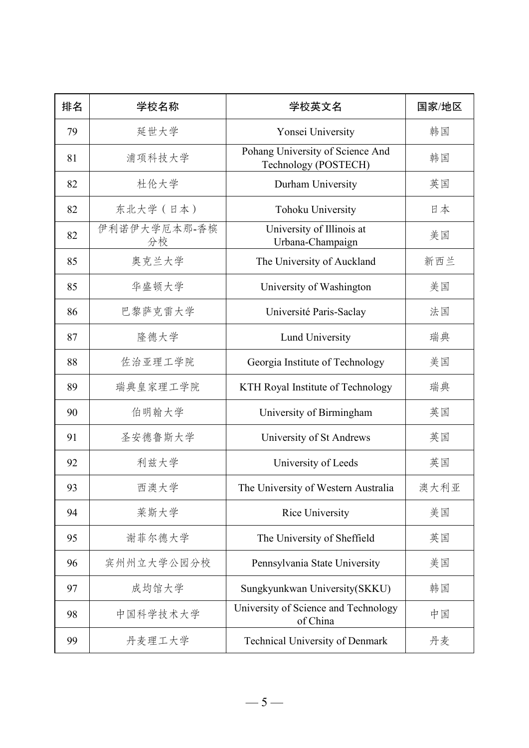| 排名 | 学校名称               | 学校英文名                                                    | 国家/地区 |
|----|--------------------|----------------------------------------------------------|-------|
| 79 | 延世大学               | Yonsei University                                        | 韩国    |
| 81 | 浦项科技大学             | Pohang University of Science And<br>Technology (POSTECH) | 韩国    |
| 82 | 杜伦大学               | Durham University                                        | 英国    |
| 82 | 东北大学 (日本)          | Tohoku University                                        | 日本    |
| 82 | 伊利诺伊大学厄本那-香槟<br>分校 | University of Illinois at<br>Urbana-Champaign            | 美国    |
| 85 | 奥克兰大学              | The University of Auckland                               | 新西兰   |
| 85 | 华盛顿大学              | University of Washington                                 | 美国    |
| 86 | 巴黎萨克雷大学            | Université Paris-Saclay                                  | 法国    |
| 87 | 隆德大学               | Lund University                                          | 瑞典    |
| 88 | 佐治亚理工学院            | Georgia Institute of Technology                          | 美国    |
| 89 | 瑞典皇家理工学院           | KTH Royal Institute of Technology                        | 瑞典    |
| 90 | 伯明翰大学              | University of Birmingham                                 | 英国    |
| 91 | 圣安德鲁斯大学            | University of St Andrews                                 | 英国    |
| 92 | 利兹大学               | University of Leeds                                      | 英国    |
| 93 | 西澳大学               | The University of Western Australia                      | 澳大利亚  |
| 94 | 莱斯大学               | Rice University                                          | 美国    |
| 95 | 谢菲尔德大学             | The University of Sheffield                              | 英国    |
| 96 | 宾州州立大学公园分校         | Pennsylvania State University                            | 美国    |
| 97 | 成均馆大学              | Sungkyunkwan University(SKKU)                            | 韩国    |
| 98 | 中国科学技术大学           | University of Science and Technology<br>of China         | 中国    |
| 99 | 丹麦理工大学             | Technical University of Denmark                          | 丹麦    |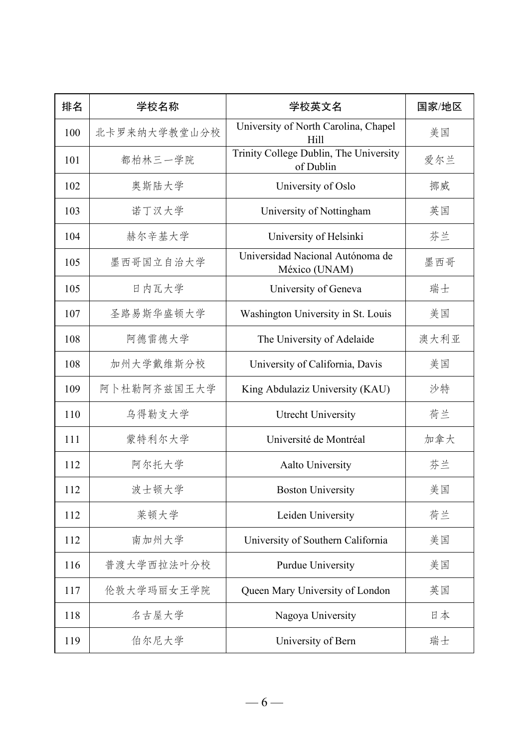| 排名  | 学校名称         | 学校英文名                                               | 国家/地区 |
|-----|--------------|-----------------------------------------------------|-------|
| 100 | 北卡罗来纳大学教堂山分校 | University of North Carolina, Chapel<br>Hill        | 美国    |
| 101 | 都柏林三一学院      | Trinity College Dublin, The University<br>of Dublin | 爱尔兰   |
| 102 | 奥斯陆大学        | University of Oslo                                  | 挪威    |
| 103 | 诺丁汉大学        | University of Nottingham                            | 英国    |
| 104 | 赫尔辛基大学       | University of Helsinki                              | 芬兰    |
| 105 | 墨西哥国立自治大学    | Universidad Nacional Autónoma de<br>México (UNAM)   | 墨西哥   |
| 105 | 日内瓦大学        | University of Geneva                                | 瑞士    |
| 107 | 圣路易斯华盛顿大学    | Washington University in St. Louis                  | 美国    |
| 108 | 阿德雷德大学       | The University of Adelaide                          | 澳大利亚  |
| 108 | 加州大学戴维斯分校    | University of California, Davis                     | 美国    |
| 109 | 阿卜杜勒阿齐兹国王大学  | King Abdulaziz University (KAU)                     | 沙特    |
| 110 | 乌得勒支大学       | <b>Utrecht University</b>                           | 荷兰    |
| 111 | 蒙特利尔大学       | Université de Montréal                              | 加拿大   |
| 112 | 阿尔托大学        | Aalto University                                    | 芬兰    |
| 112 | 波士顿大学        | <b>Boston University</b>                            | 美国    |
| 112 | 莱顿大学         | Leiden University                                   | 荷兰    |
| 112 | 南加州大学        | University of Southern California                   | 美国    |
| 116 | 普渡大学西拉法叶分校   | Purdue University                                   | 美国    |
| 117 | 伦敦大学玛丽女王学院   | Queen Mary University of London                     | 英国    |
| 118 | 名古屋大学        | Nagoya University                                   | 日本    |
| 119 | 伯尔尼大学        | University of Bern                                  | 瑞士    |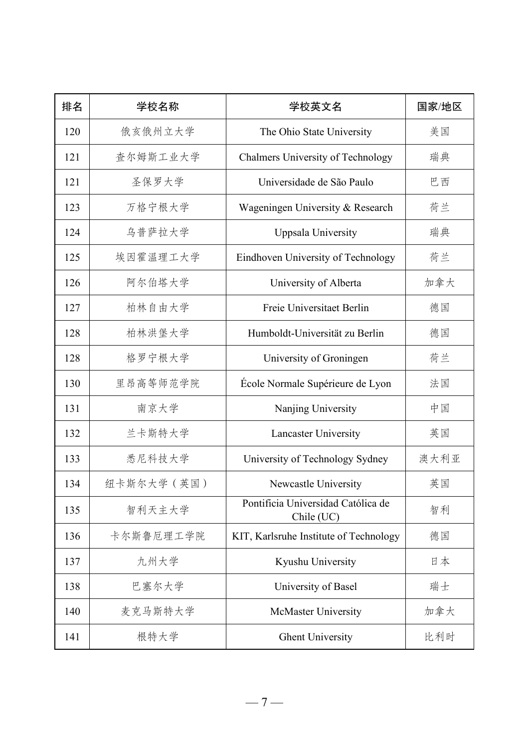| 排名  | 学校名称        | 学校英文名                                            | 国家/地区 |
|-----|-------------|--------------------------------------------------|-------|
| 120 | 俄亥俄州立大学     | The Ohio State University                        | 美国    |
| 121 | 查尔姆斯工业大学    | Chalmers University of Technology                | 瑞典    |
| 121 | 圣保罗大学       | Universidade de São Paulo                        | 巴西    |
| 123 | 万格宁根大学      | Wageningen University & Research                 | 荷兰    |
| 124 | 乌普萨拉大学      | Uppsala University                               | 瑞典    |
| 125 | 埃因霍温理工大学    | Eindhoven University of Technology               | 荷兰    |
| 126 | 阿尔伯塔大学      | University of Alberta                            | 加拿大   |
| 127 | 柏林自由大学      | Freie Universitaet Berlin                        | 德国    |
| 128 | 柏林洪堡大学      | Humboldt-Universität zu Berlin                   | 德国    |
| 128 | 格罗宁根大学      | University of Groningen                          | 荷兰    |
| 130 | 里昂高等师范学院    | École Normale Supérieure de Lyon                 | 法国    |
| 131 | 南京大学        | Nanjing University                               | 中国    |
| 132 | 兰卡斯特大学      | Lancaster University                             | 英国    |
| 133 | 悉尼科技大学      | University of Technology Sydney                  | 澳大利亚  |
| 134 | 纽卡斯尔大学 (英国) | Newcastle University                             | 英国    |
| 135 | 智利天主大学      | Pontificia Universidad Católica de<br>Chile (UC) | 智利    |
| 136 | 卡尔斯鲁厄理工学院   | KIT, Karlsruhe Institute of Technology           | 德国    |
| 137 | 九州大学        | Kyushu University                                | 日本    |
| 138 | 巴塞尔大学       | University of Basel                              | 瑞士    |
| 140 | 麦克马斯特大学     | McMaster University                              | 加拿大   |
| 141 | 根特大学        | <b>Ghent University</b>                          | 比利时   |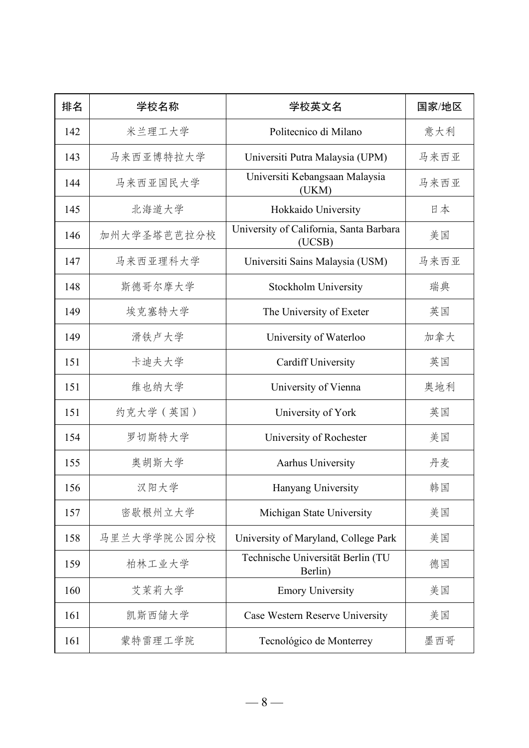| 排名  | 学校名称        | 学校英文名                                             | 国家/地区 |
|-----|-------------|---------------------------------------------------|-------|
| 142 | 米兰理工大学      | Politecnico di Milano                             | 意大利   |
| 143 | 马来西亚博特拉大学   | Universiti Putra Malaysia (UPM)                   | 马来西亚  |
| 144 | 马来西亚国民大学    | Universiti Kebangsaan Malaysia<br>(UKM)           | 马来西亚  |
| 145 | 北海道大学       | Hokkaido University                               | 日本    |
| 146 | 加州大学圣塔芭芭拉分校 | University of California, Santa Barbara<br>(UCSB) | 美国    |
| 147 | 马来西亚理科大学    | Universiti Sains Malaysia (USM)                   | 马来西亚  |
| 148 | 斯德哥尔摩大学     | Stockholm University                              | 瑞典    |
| 149 | 埃克塞特大学      | The University of Exeter                          | 英国    |
| 149 | 滑铁卢大学       | University of Waterloo                            | 加拿大   |
| 151 | 卡迪夫大学       | <b>Cardiff University</b>                         | 英国    |
| 151 | 维也纳大学       | University of Vienna                              | 奥地利   |
| 151 | 约克大学 (英国)   | University of York                                | 英国    |
| 154 | 罗切斯特大学      | University of Rochester                           | 美国    |
| 155 | 奥胡斯大学       | Aarhus University                                 | 丹麦    |
| 156 | 汉阳大学        | Hanyang University                                | 韩国    |
| 157 | 密歇根州立大学     | Michigan State University                         | 美国    |
| 158 | 马里兰大学学院公园分校 | University of Maryland, College Park              | 美国    |
| 159 | 柏林工业大学      | Technische Universität Berlin (TU<br>Berlin)      | 德国    |
| 160 | 艾茉莉大学       | <b>Emory University</b>                           | 美国    |
| 161 | 凯斯西储大学      | Case Western Reserve University                   | 美国    |
| 161 | 蒙特雷理工学院     | Tecnológico de Monterrey                          | 墨西哥   |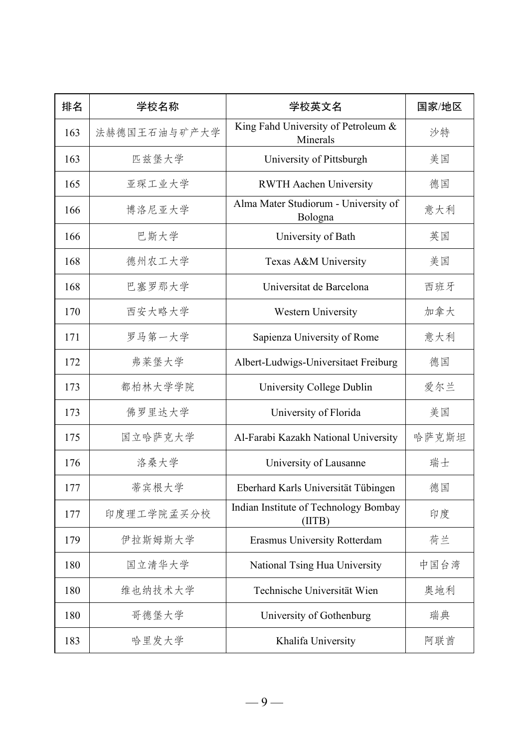| 排名  | 学校名称         | 学校英文名                                           | 国家/地区 |
|-----|--------------|-------------------------------------------------|-------|
| 163 | 法赫德国王石油与矿产大学 | King Fahd University of Petroleum &<br>Minerals | 沙特    |
| 163 | 匹兹堡大学        | University of Pittsburgh                        | 美国    |
| 165 | 亚琛工业大学       | <b>RWTH Aachen University</b>                   | 德国    |
| 166 | 博洛尼亚大学       | Alma Mater Studiorum - University of<br>Bologna | 意大利   |
| 166 | 巴斯大学         | University of Bath                              | 英国    |
| 168 | 德州农工大学       | Texas A&M University                            | 美国    |
| 168 | 巴塞罗那大学       | Universitat de Barcelona                        | 西班牙   |
| 170 | 西安大略大学       | Western University                              | 加拿大   |
| 171 | 罗马第一大学       | Sapienza University of Rome                     | 意大利   |
| 172 | 弗莱堡大学        | Albert-Ludwigs-Universitaet Freiburg            | 德国    |
| 173 | 都柏林大学学院      | University College Dublin                       | 爱尔兰   |
| 173 | 佛罗里达大学       | University of Florida                           | 美国    |
| 175 | 国立哈萨克大学      | Al-Farabi Kazakh National University            | 哈萨克斯坦 |
| 176 | 洛桑大学         | University of Lausanne                          | 瑞士    |
| 177 | 蒂宾根大学        | Eberhard Karls Universität Tübingen             | 德国    |
| 177 | 印度理工学院孟买分校   | Indian Institute of Technology Bombay<br>(HTB)  | 印度    |
| 179 | 伊拉斯姆斯大学      | Erasmus University Rotterdam                    | 荷兰    |
| 180 | 国立清华大学       | National Tsing Hua University                   | 中国台湾  |
| 180 | 维也纳技术大学      | Technische Universität Wien                     | 奥地利   |
| 180 | 哥德堡大学        | University of Gothenburg                        | 瑞典    |
| 183 | 哈里发大学        | Khalifa University                              | 阿联酋   |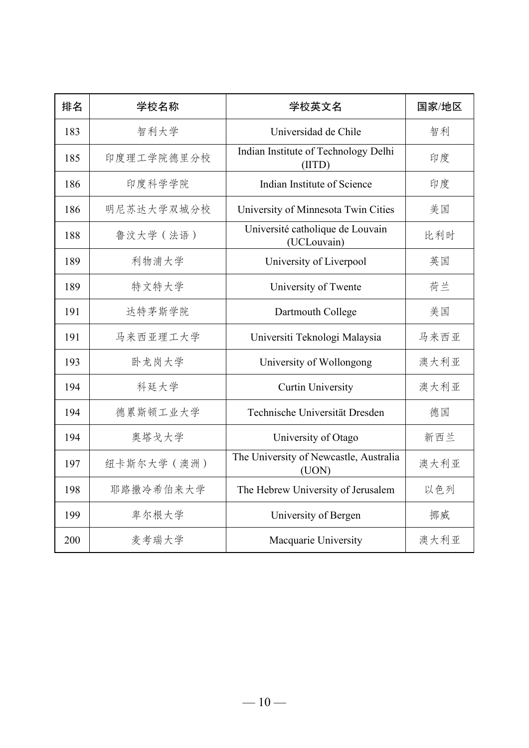| 排名  | 学校名称        | 学校英文名                                           | 国家/地区 |
|-----|-------------|-------------------------------------------------|-------|
| 183 | 智利大学        | Universidad de Chile                            | 智利    |
| 185 | 印度理工学院德里分校  | Indian Institute of Technology Delhi<br>(IIID)  | 印度    |
| 186 | 印度科学学院      | Indian Institute of Science                     | 印度    |
| 186 | 明尼苏达大学双城分校  | University of Minnesota Twin Cities             | 美国    |
| 188 | 鲁汶大学 (法语)   | Université catholique de Louvain<br>(UCLouvain) | 比利时   |
| 189 | 利物浦大学       | University of Liverpool                         | 英国    |
| 189 | 特文特大学       | University of Twente                            | 荷兰    |
| 191 | 达特茅斯学院      | Dartmouth College                               | 美国    |
| 191 | 马来西亚理工大学    | Universiti Teknologi Malaysia                   | 马来西亚  |
| 193 | 卧龙岗大学       | University of Wollongong                        | 澳大利亚  |
| 194 | 科廷大学        | <b>Curtin University</b>                        | 澳大利亚  |
| 194 | 德累斯顿工业大学    | Technische Universität Dresden                  | 德国    |
| 194 | 奥塔戈大学       | University of Otago                             | 新西兰   |
| 197 | 纽卡斯尔大学 (澳洲) | The University of Newcastle, Australia<br>(UON) | 澳大利亚  |
| 198 | 耶路撒冷希伯来大学   | The Hebrew University of Jerusalem              | 以色列   |
| 199 | 卑尔根大学       | University of Bergen                            | 挪威    |
| 200 | 麦考瑞大学       | Macquarie University                            | 澳大利亚  |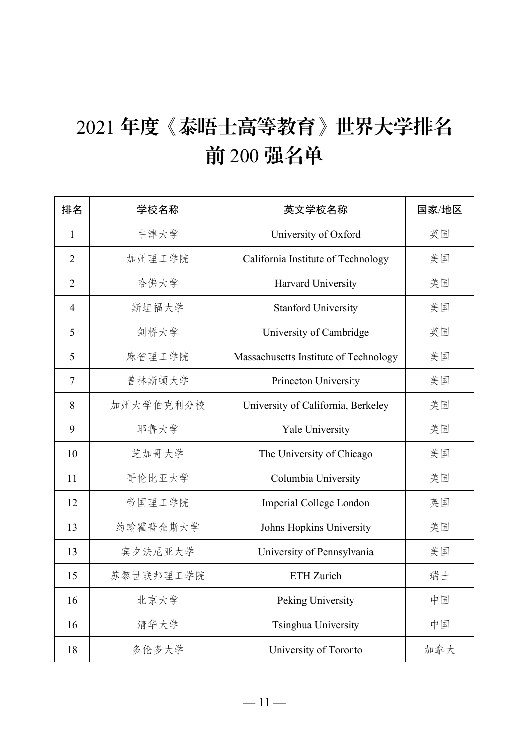## 年度《泰晤士高等教育》世界大学排名 前 200 强名单

| 排名             | 学校名称      | 英文学校名称                                | 国家/地区 |
|----------------|-----------|---------------------------------------|-------|
| $\mathbf{1}$   | 牛津大学      | University of Oxford                  | 英国    |
| $\overline{2}$ | 加州理工学院    | California Institute of Technology    | 美国    |
| $\overline{2}$ | 哈佛大学      | Harvard University                    | 美国    |
| $\overline{4}$ | 斯坦福大学     | <b>Stanford University</b>            | 美国    |
| 5              | 剑桥大学      | University of Cambridge               | 英国    |
| 5              | 麻省理工学院    | Massachusetts Institute of Technology | 美国    |
| $\overline{7}$ | 普林斯顿大学    | Princeton University                  | 美国    |
| 8              | 加州大学伯克利分校 | University of California, Berkeley    | 美国    |
| 9              | 耶鲁大学      | Yale University                       | 美国    |
| 10             | 芝加哥大学     | The University of Chicago             | 美国    |
| 11             | 哥伦比亚大学    | Columbia University                   | 美国    |
| 12             | 帝国理工学院    | Imperial College London               | 英国    |
| 13             | 约翰霍普金斯大学  | Johns Hopkins University              | 美国    |
| 13             | 宾夕法尼亚大学   | University of Pennsylvania            | 美国    |
| 15             | 苏黎世联邦理工学院 | <b>ETH</b> Zurich                     | 瑞士    |
| 16             | 北京大学      | Peking University                     | 中国    |
| 16             | 清华大学      | Tsinghua University                   | 中国    |
| 18             | 多伦多大学     | University of Toronto                 | 加拿大   |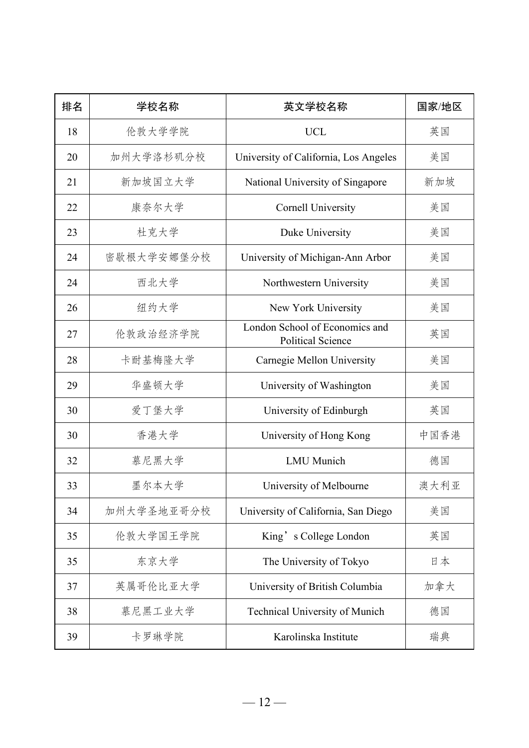| 排名 | 学校名称       | 英文学校名称                                                     | 国家/地区 |
|----|------------|------------------------------------------------------------|-------|
| 18 | 伦敦大学学院     | <b>UCL</b>                                                 | 英国    |
| 20 | 加州大学洛杉矶分校  | University of California, Los Angeles                      | 美国    |
| 21 | 新加坡国立大学    | National University of Singapore                           | 新加坡   |
| 22 | 康奈尔大学      | <b>Cornell University</b>                                  | 美国    |
| 23 | 杜克大学       | Duke University                                            | 美国    |
| 24 | 密歇根大学安娜堡分校 | University of Michigan-Ann Arbor                           | 美国    |
| 24 | 西北大学       | Northwestern University                                    | 美国    |
| 26 | 纽约大学       | New York University                                        | 美国    |
| 27 | 伦敦政治经济学院   | London School of Economics and<br><b>Political Science</b> | 英国    |
| 28 | 卡耐基梅隆大学    | Carnegie Mellon University                                 | 美国    |
| 29 | 华盛顿大学      | University of Washington                                   | 美国    |
| 30 | 爱丁堡大学      | University of Edinburgh                                    | 英国    |
| 30 | 香港大学       | University of Hong Kong                                    | 中国香港  |
| 32 | 慕尼黑大学      | <b>LMU</b> Munich                                          | 德国    |
| 33 | 墨尔本大学      | University of Melbourne                                    | 澳大利亚  |
| 34 | 加州大学圣地亚哥分校 | University of California, San Diego                        | 美国    |
| 35 | 伦敦大学国王学院   | King's College London                                      | 英国    |
| 35 | 东京大学       | The University of Tokyo                                    | 日本    |
| 37 | 英属哥伦比亚大学   | University of British Columbia                             | 加拿大   |
| 38 | 慕尼黑工业大学    | Technical University of Munich                             | 德国    |
| 39 | 卡罗琳学院      | Karolinska Institute                                       | 瑞典    |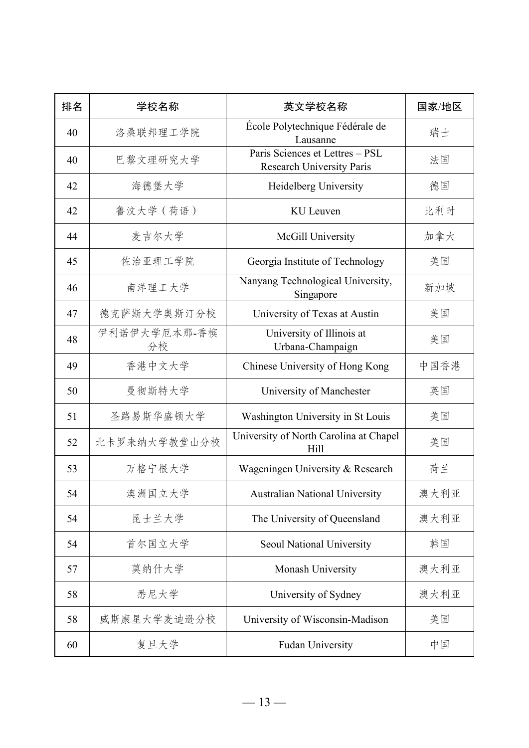| 排名 | 学校名称               | 英文学校名称                                                              | 国家/地区 |
|----|--------------------|---------------------------------------------------------------------|-------|
| 40 | 洛桑联邦理工学院           | École Polytechnique Fédérale de<br>Lausanne                         | 瑞士    |
| 40 | 巴黎文理研究大学           | Paris Sciences et Lettres - PSL<br><b>Research University Paris</b> | 法国    |
| 42 | 海德堡大学              | Heidelberg University                                               | 德国    |
| 42 | 鲁汶大学 (荷语)          | KU Leuven                                                           | 比利时   |
| 44 | 麦吉尔大学              | McGill University                                                   | 加拿大   |
| 45 | 佐治亚理工学院            | Georgia Institute of Technology                                     | 美国    |
| 46 | 南洋理工大学             | Nanyang Technological University,<br>Singapore                      | 新加坡   |
| 47 | 德克萨斯大学奥斯汀分校        | University of Texas at Austin                                       | 美国    |
| 48 | 伊利诺伊大学厄本那-香槟<br>分校 | University of Illinois at<br>Urbana-Champaign                       | 美国    |
| 49 | 香港中文大学             | Chinese University of Hong Kong                                     | 中国香港  |
| 50 | 曼彻斯特大学             | University of Manchester                                            | 英国    |
| 51 | 圣路易斯华盛顿大学          | Washington University in St Louis                                   | 美国    |
| 52 | 北卡罗来纳大学教堂山分校       | University of North Carolina at Chapel<br>Hill                      | 美国    |
| 53 | 万格宁根大学             | Wageningen University & Research                                    | 荷兰    |
| 54 | 澳洲国立大学             | <b>Australian National University</b>                               | 澳大利亚  |
| 54 | 昆士兰大学              | The University of Queensland                                        | 澳大利亚  |
| 54 | 首尔国立大学             | Seoul National University                                           | 韩国    |
| 57 | 莫纳什大学              | Monash University                                                   | 澳大利亚  |
| 58 | 悉尼大学               | University of Sydney                                                | 澳大利亚  |
| 58 | 威斯康星大学麦迪逊分校        | University of Wisconsin-Madison                                     | 美国    |
| 60 | 复旦大学               | Fudan University                                                    | 中国    |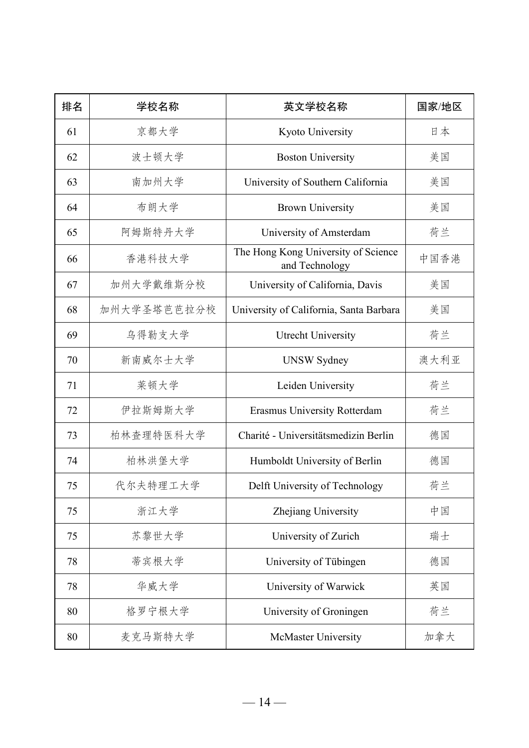| 排名 | 学校名称        | 英文学校名称                                                | 国家/地区 |
|----|-------------|-------------------------------------------------------|-------|
| 61 | 京都大学        | Kyoto University                                      | 日本    |
| 62 | 波士顿大学       | <b>Boston University</b>                              | 美国    |
| 63 | 南加州大学       | University of Southern California                     | 美国    |
| 64 | 布朗大学        | <b>Brown University</b>                               | 美国    |
| 65 | 阿姆斯特丹大学     | University of Amsterdam                               | 荷兰    |
| 66 | 香港科技大学      | The Hong Kong University of Science<br>and Technology | 中国香港  |
| 67 | 加州大学戴维斯分校   | University of California, Davis                       | 美国    |
| 68 | 加州大学圣塔芭芭拉分校 | University of California, Santa Barbara               | 美国    |
| 69 | 乌得勒支大学      | <b>Utrecht University</b>                             | 荷兰    |
| 70 | 新南威尔士大学     | <b>UNSW Sydney</b>                                    | 澳大利亚  |
| 71 | 莱顿大学        | Leiden University                                     | 荷兰    |
| 72 | 伊拉斯姆斯大学     | Erasmus University Rotterdam                          | 荷兰    |
| 73 | 柏林查理特医科大学   | Charité - Universitätsmedizin Berlin                  | 德国    |
| 74 | 柏林洪堡大学      | Humboldt University of Berlin                         | 德国    |
| 75 | 代尔夫特理工大学    | Delft University of Technology                        | 荷兰    |
| 75 | 浙江大学        | Zhejiang University                                   | 中国    |
| 75 | 苏黎世大学       | University of Zurich                                  | 瑞士    |
| 78 | 蒂宾根大学       | University of Tübingen                                | 德国    |
| 78 | 华威大学        | University of Warwick                                 | 英国    |
| 80 | 格罗宁根大学      | University of Groningen                               | 荷兰    |
| 80 | 麦克马斯特大学     | McMaster University                                   | 加拿大   |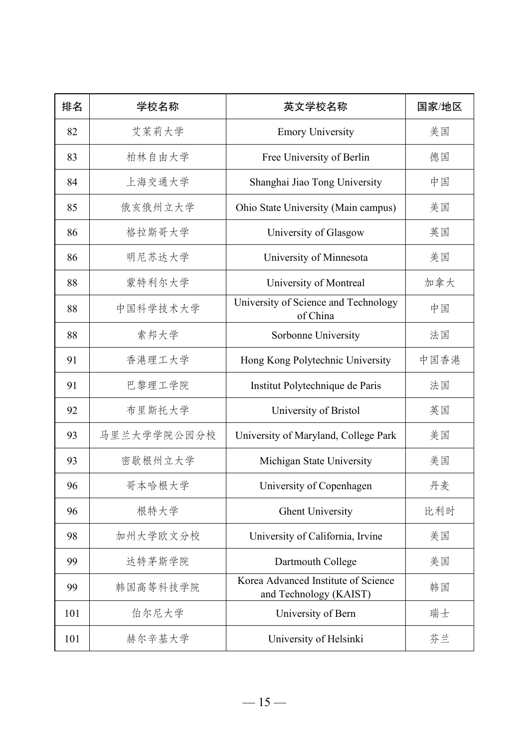| 排名  | 学校名称        | 英文学校名称                                                        | 国家/地区 |
|-----|-------------|---------------------------------------------------------------|-------|
| 82  | 艾茉莉大学       | <b>Emory University</b>                                       | 美国    |
| 83  | 柏林自由大学      | Free University of Berlin                                     | 德国    |
| 84  | 上海交通大学      | Shanghai Jiao Tong University                                 | 中国    |
| 85  | 俄亥俄州立大学     | Ohio State University (Main campus)                           | 美国    |
| 86  | 格拉斯哥大学      | University of Glasgow                                         | 英国    |
| 86  | 明尼苏达大学      | University of Minnesota                                       | 美国    |
| 88  | 蒙特利尔大学      | University of Montreal                                        | 加拿大   |
| 88  | 中国科学技术大学    | University of Science and Technology<br>of China              | 中国    |
| 88  | 索邦大学        | Sorbonne University                                           | 法国    |
| 91  | 香港理工大学      | Hong Kong Polytechnic University                              | 中国香港  |
| 91  | 巴黎理工学院      | Institut Polytechnique de Paris                               | 法国    |
| 92  | 布里斯托大学      | University of Bristol                                         | 英国    |
| 93  | 马里兰大学学院公园分校 | University of Maryland, College Park                          | 美国    |
| 93  | 密歇根州立大学     | Michigan State University                                     | 美国    |
| 96  | 哥本哈根大学      | University of Copenhagen                                      | 丹麦    |
| 96  | 根特大学        | <b>Ghent University</b>                                       | 比利时   |
| 98  | 加州大学欧文分校    | University of California, Irvine                              | 美国    |
| 99  | 达特茅斯学院      | Dartmouth College                                             | 美国    |
| 99  | 韩国高等科技学院    | Korea Advanced Institute of Science<br>and Technology (KAIST) | 韩国    |
| 101 | 伯尔尼大学       | University of Bern                                            | 瑞士    |
| 101 | 赫尔辛基大学      | University of Helsinki                                        | 芬兰    |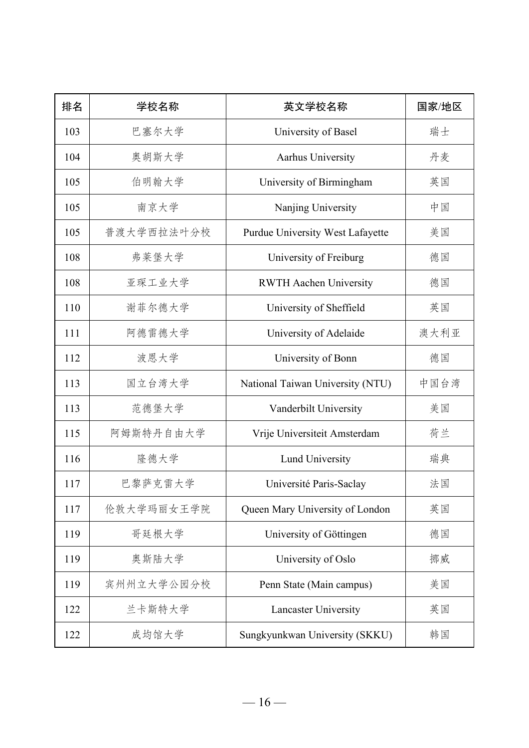| 排名  | 学校名称       | 英文学校名称                           | 国家/地区 |
|-----|------------|----------------------------------|-------|
| 103 | 巴塞尔大学      | University of Basel              | 瑞士    |
| 104 | 奥胡斯大学      | Aarhus University                | 丹麦    |
| 105 | 伯明翰大学      | University of Birmingham         | 英国    |
| 105 | 南京大学       | Nanjing University               | 中国    |
| 105 | 普渡大学西拉法叶分校 | Purdue University West Lafayette | 美国    |
| 108 | 弗莱堡大学      | University of Freiburg           | 德国    |
| 108 | 亚琛工业大学     | <b>RWTH Aachen University</b>    | 德国    |
| 110 | 谢菲尔德大学     | University of Sheffield          | 英国    |
| 111 | 阿德雷德大学     | University of Adelaide           | 澳大利亚  |
| 112 | 波恩大学       | University of Bonn               | 德国    |
| 113 | 国立台湾大学     | National Taiwan University (NTU) | 中国台湾  |
| 113 | 范德堡大学      | Vanderbilt University            | 美国    |
| 115 | 阿姆斯特丹自由大学  | Vrije Universiteit Amsterdam     | 荷兰    |
| 116 | 隆德大学       | Lund University                  | 瑞典    |
| 117 | 巴黎萨克雷大学    | Université Paris-Saclay          | 法国    |
| 117 | 伦敦大学玛丽女王学院 | Queen Mary University of London  | 英国    |
| 119 | 哥廷根大学      | University of Göttingen          | 德国    |
| 119 | 奥斯陆大学      | University of Oslo               | 挪威    |
| 119 | 宾州州立大学公园分校 | Penn State (Main campus)         | 美国    |
| 122 | 兰卡斯特大学     | Lancaster University             | 英国    |
| 122 | 成均馆大学      | Sungkyunkwan University (SKKU)   | 韩国    |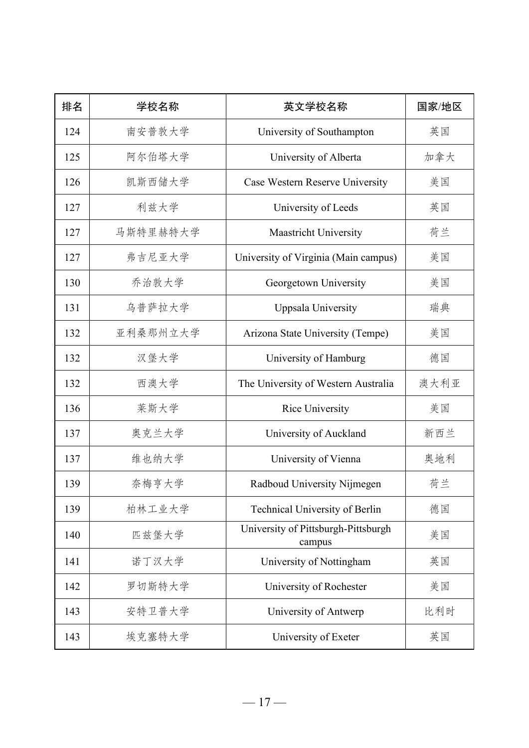| 排名  | 学校名称     | 英文学校名称                                        | 国家/地区 |
|-----|----------|-----------------------------------------------|-------|
| 124 | 南安普敦大学   | University of Southampton                     | 英国    |
| 125 | 阿尔伯塔大学   | University of Alberta                         | 加拿大   |
| 126 | 凯斯西储大学   | Case Western Reserve University               | 美国    |
| 127 | 利兹大学     | University of Leeds                           | 英国    |
| 127 | 马斯特里赫特大学 | Maastricht University                         | 荷兰    |
| 127 | 弗吉尼亚大学   | University of Virginia (Main campus)          | 美国    |
| 130 | 乔治敦大学    | Georgetown University                         | 美国    |
| 131 | 乌普萨拉大学   | Uppsala University                            | 瑞典    |
| 132 | 亚利桑那州立大学 | Arizona State University (Tempe)              | 美国    |
| 132 | 汉堡大学     | University of Hamburg                         | 德国    |
| 132 | 西澳大学     | The University of Western Australia           | 澳大利亚  |
| 136 | 莱斯大学     | Rice University                               | 美国    |
| 137 | 奥克兰大学    | University of Auckland                        | 新西兰   |
| 137 | 维也纳大学    | University of Vienna                          | 奥地利   |
| 139 | 奈梅亨大学    | Radboud University Nijmegen                   | 荷兰    |
| 139 | 柏林工业大学   | Technical University of Berlin                | 德国    |
| 140 | 匹兹堡大学    | University of Pittsburgh-Pittsburgh<br>campus | 美国    |
| 141 | 诺丁汉大学    | University of Nottingham                      | 英国    |
| 142 | 罗切斯特大学   | University of Rochester                       | 美国    |
| 143 | 安特卫普大学   | University of Antwerp                         | 比利时   |
| 143 | 埃克塞特大学   | University of Exeter                          | 英国    |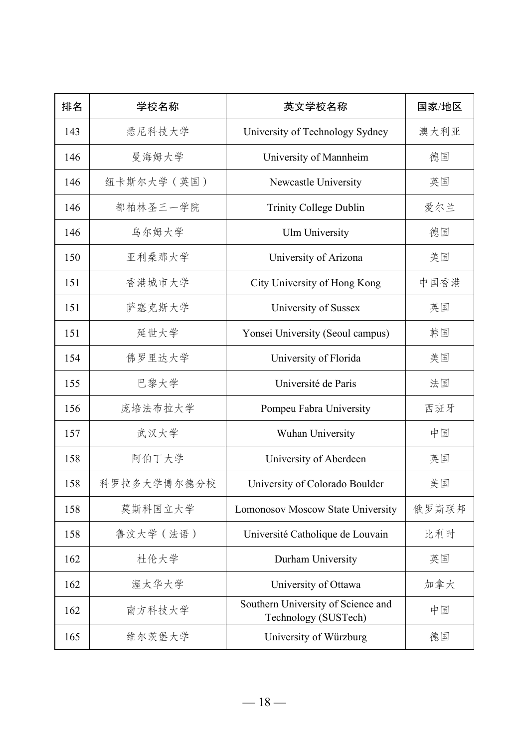| 排名  | 学校名称        | 英文学校名称                                                     | 国家/地区 |
|-----|-------------|------------------------------------------------------------|-------|
| 143 | 悉尼科技大学      | University of Technology Sydney                            | 澳大利亚  |
| 146 | 曼海姆大学       | University of Mannheim                                     | 德国    |
| 146 | 纽卡斯尔大学 (英国) | Newcastle University                                       | 英国    |
| 146 | 都柏林圣三一学院    | Trinity College Dublin                                     | 爱尔兰   |
| 146 | 乌尔姆大学       | <b>Ulm University</b>                                      | 德国    |
| 150 | 亚利桑那大学      | University of Arizona                                      | 美国    |
| 151 | 香港城市大学      | City University of Hong Kong                               | 中国香港  |
| 151 | 萨塞克斯大学      | University of Sussex                                       | 英国    |
| 151 | 延世大学        | Yonsei University (Seoul campus)                           | 韩国    |
| 154 | 佛罗里达大学      | University of Florida                                      | 美国    |
| 155 | 巴黎大学        | Université de Paris                                        | 法国    |
| 156 | 庞培法布拉大学     | Pompeu Fabra University                                    | 西班牙   |
| 157 | 武汉大学        | Wuhan University                                           | 中国    |
| 158 | 阿伯丁大学       | University of Aberdeen                                     | 英国    |
| 158 | 科罗拉多大学博尔德分校 | University of Colorado Boulder                             | 美国    |
| 158 | 莫斯科国立大学     | Lomonosov Moscow State University                          | 俄罗斯联邦 |
| 158 | 鲁汶大学 (法语)   | Université Catholique de Louvain                           | 比利时   |
| 162 | 杜伦大学        | Durham University                                          | 英国    |
| 162 | 渥太华大学       | University of Ottawa                                       | 加拿大   |
| 162 | 南方科技大学      | Southern University of Science and<br>Technology (SUSTech) | 中国    |
| 165 | 维尔茨堡大学      | University of Würzburg                                     | 德国    |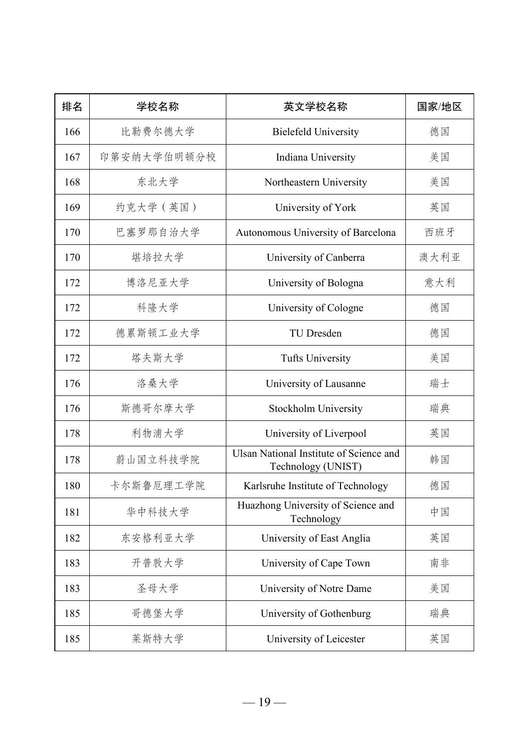| 排名  | 学校名称        | 英文学校名称                                                        | 国家/地区 |
|-----|-------------|---------------------------------------------------------------|-------|
| 166 | 比勒费尔德大学     | <b>Bielefeld University</b>                                   | 德国    |
| 167 | 印第安纳大学伯明顿分校 | Indiana University                                            | 美国    |
| 168 | 东北大学        | Northeastern University                                       | 美国    |
| 169 | 约克大学 (英国)   | University of York                                            | 英国    |
| 170 | 巴塞罗那自治大学    | Autonomous University of Barcelona                            | 西班牙   |
| 170 | 堪培拉大学       | University of Canberra                                        | 澳大利亚  |
| 172 | 博洛尼亚大学      | University of Bologna                                         | 意大利   |
| 172 | 科隆大学        | University of Cologne                                         | 德国    |
| 172 | 德累斯顿工业大学    | TU Dresden                                                    | 德国    |
| 172 | 塔夫斯大学       | <b>Tufts University</b>                                       | 美国    |
| 176 | 洛桑大学        | University of Lausanne                                        | 瑞士    |
| 176 | 斯德哥尔摩大学     | Stockholm University                                          | 瑞典    |
| 178 | 利物浦大学       | University of Liverpool                                       | 英国    |
| 178 | 蔚山国立科技学院    | Ulsan National Institute of Science and<br>Technology (UNIST) | 韩国    |
| 180 | 卡尔斯鲁厄理工学院   | Karlsruhe Institute of Technology                             | 德国    |
| 181 | 华中科技大学      | Huazhong University of Science and<br>Technology              | 中国    |
| 182 | 东安格利亚大学     | University of East Anglia                                     | 英国    |
| 183 | 开普敦大学       | University of Cape Town                                       | 南非    |
| 183 | 圣母大学        | University of Notre Dame                                      | 美国    |
| 185 | 哥德堡大学       | University of Gothenburg                                      | 瑞典    |
| 185 | 莱斯特大学       | University of Leicester                                       | 英国    |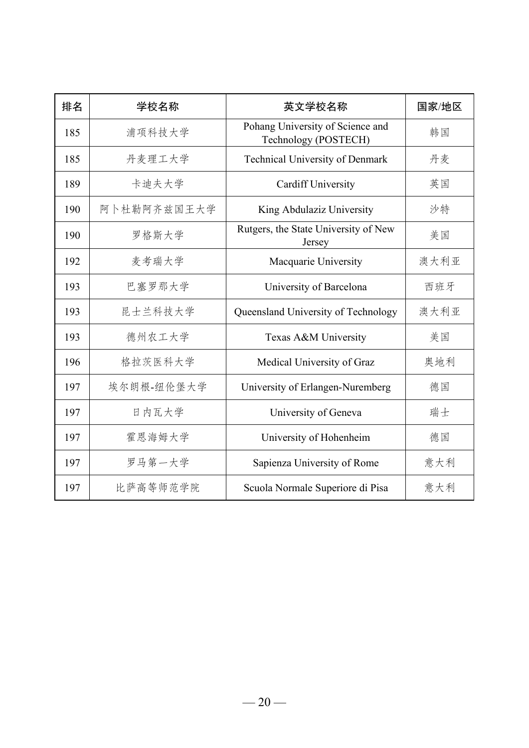| 排名  | 学校名称        | 英文学校名称                                                   | 国家/地区 |
|-----|-------------|----------------------------------------------------------|-------|
| 185 | 浦项科技大学      | Pohang University of Science and<br>Technology (POSTECH) | 韩国    |
| 185 | 丹麦理工大学      | Technical University of Denmark                          | 丹麦    |
| 189 | 卡迪夫大学       | <b>Cardiff University</b>                                | 英国    |
| 190 | 阿卜杜勒阿齐兹国王大学 | King Abdulaziz University                                | 沙特    |
| 190 | 罗格斯大学       | Rutgers, the State University of New<br>Jersey           | 美国    |
| 192 | 麦考瑞大学       | Macquarie University                                     | 澳大利亚  |
| 193 | 巴塞罗那大学      | University of Barcelona                                  | 西班牙   |
| 193 | 昆士兰科技大学     | Queensland University of Technology                      | 澳大利亚  |
| 193 | 德州农工大学      | Texas A&M University                                     | 美国    |
| 196 | 格拉茨医科大学     | Medical University of Graz                               | 奥地利   |
| 197 | 埃尔朗根-纽伦堡大学  | University of Erlangen-Nuremberg                         | 德国    |
| 197 | 日内瓦大学       | University of Geneva                                     | 瑞士    |
| 197 | 霍恩海姆大学      | University of Hohenheim                                  | 德国    |
| 197 | 罗马第一大学      | Sapienza University of Rome                              | 意大利   |
| 197 | 比萨高等师范学院    | Scuola Normale Superiore di Pisa                         | 意大利   |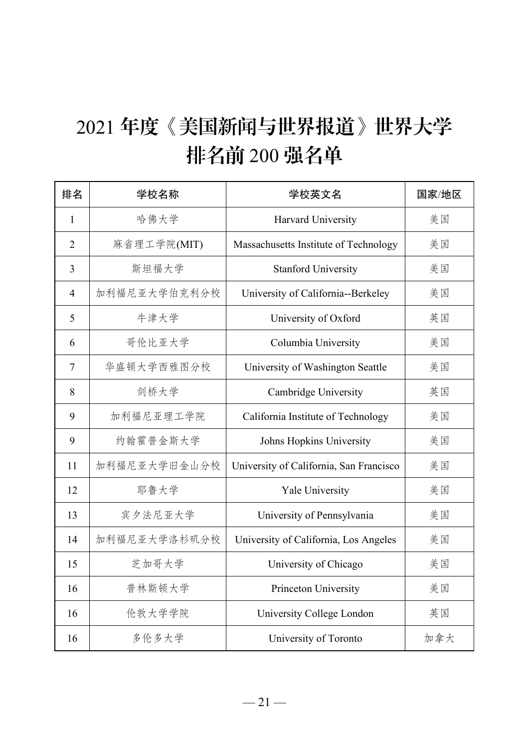# 年度《美国新闻与世界报道》世界大学 排名前 200 强名单

| 排名             | 学校名称         | 学校英文名                                   | 国家/地区 |
|----------------|--------------|-----------------------------------------|-------|
| $\mathbf{1}$   | 哈佛大学         | Harvard University                      | 美国    |
| $\overline{2}$ | 麻省理工学院(MIT)  | Massachusetts Institute of Technology   | 美国    |
| 3              | 斯坦福大学        | <b>Stanford University</b>              | 美国    |
| 4              | 加利福尼亚大学伯克利分校 | University of California--Berkeley      | 美国    |
| 5              | 牛津大学         | University of Oxford                    | 英国    |
| 6              | 哥伦比亚大学       | Columbia University                     | 美国    |
| $\tau$         | 华盛顿大学西雅图分校   | University of Washington Seattle        | 美国    |
| 8              | 剑桥大学         | Cambridge University                    | 英国    |
| 9              | 加利福尼亚理工学院    | California Institute of Technology      | 美国    |
| 9              | 约翰霍普金斯大学     | Johns Hopkins University                | 美国    |
| 11             | 加利福尼亚大学旧金山分校 | University of California, San Francisco | 美国    |
| 12             | 耶鲁大学         | Yale University                         | 美国    |
| 13             | 宾夕法尼亚大学      | University of Pennsylvania              | 美国    |
| 14             | 加利福尼亚大学洛杉矶分校 | University of California, Los Angeles   | 美国    |
| 15             | 芝加哥大学        | University of Chicago                   | 美国    |
| 16             | 普林斯顿大学       | Princeton University                    | 美国    |
| 16             | 伦敦大学学院       | University College London               | 英国    |
| 16             | 多伦多大学        | University of Toronto                   | 加拿大   |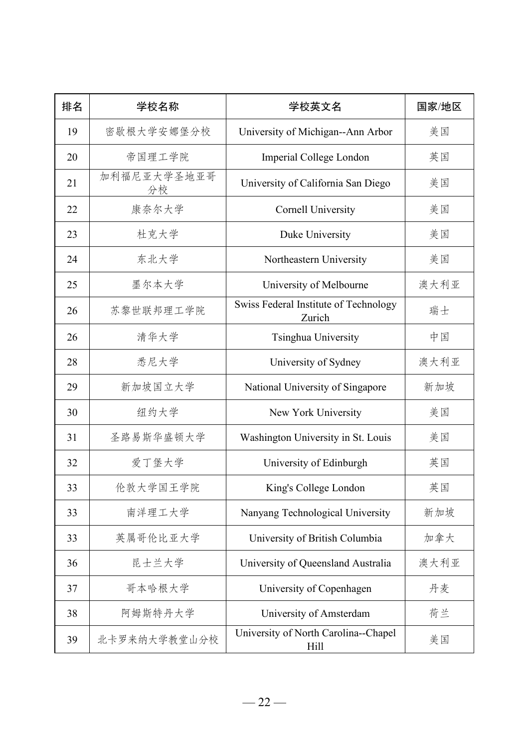| 排名 | 学校名称              | 学校英文名                                           | 国家/地区 |
|----|-------------------|-------------------------------------------------|-------|
| 19 | 密歇根大学安娜堡分校        | University of Michigan--Ann Arbor               | 美国    |
| 20 | 帝国理工学院            | Imperial College London                         | 英国    |
| 21 | 加利福尼亚大学圣地亚哥<br>分校 | University of California San Diego              | 美国    |
| 22 | 康奈尔大学             | <b>Cornell University</b>                       | 美国    |
| 23 | 杜克大学              | Duke University                                 | 美国    |
| 24 | 东北大学              | Northeastern University                         | 美国    |
| 25 | 墨尔本大学             | University of Melbourne                         | 澳大利亚  |
| 26 | 苏黎世联邦理工学院         | Swiss Federal Institute of Technology<br>Zurich | 瑞士    |
| 26 | 清华大学              | Tsinghua University                             | 中国    |
| 28 | 悉尼大学              | University of Sydney                            | 澳大利亚  |
| 29 | 新加坡国立大学           | National University of Singapore                | 新加坡   |
| 30 | 纽约大学              | New York University                             | 美国    |
| 31 | 圣路易斯华盛顿大学         | Washington University in St. Louis              | 美国    |
| 32 | 爱丁堡大学             | University of Edinburgh                         | 英国    |
| 33 | 伦敦大学国王学院          | King's College London                           | 英国    |
| 33 | 南洋理工大学            | Nanyang Technological University                | 新加坡   |
| 33 | 英属哥伦比亚大学          | University of British Columbia                  | 加拿大   |
| 36 | 昆士兰大学             | University of Queensland Australia              | 澳大利亚  |
| 37 | 哥本哈根大学            | University of Copenhagen                        | 丹麦    |
| 38 | 阿姆斯特丹大学           | University of Amsterdam                         | 荷兰    |
| 39 | 北卡罗来纳大学教堂山分校      | University of North Carolina--Chapel<br>Hill    | 美国    |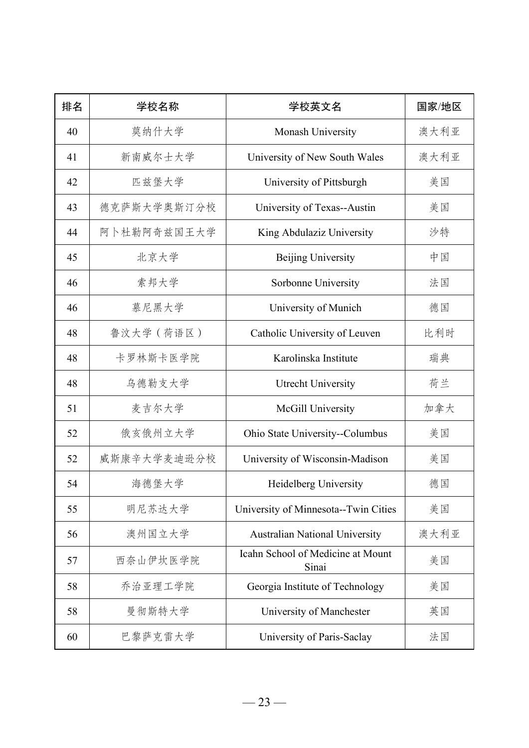| 排名 | 学校名称        | 学校英文名                                      | 国家/地区 |
|----|-------------|--------------------------------------------|-------|
| 40 | 莫纳什大学       | Monash University                          | 澳大利亚  |
| 41 | 新南威尔士大学     | University of New South Wales              | 澳大利亚  |
| 42 | 匹兹堡大学       | University of Pittsburgh                   | 美国    |
| 43 | 德克萨斯大学奥斯汀分校 | University of Texas--Austin                | 美国    |
| 44 | 阿卜杜勒阿奇兹国王大学 | King Abdulaziz University                  | 沙特    |
| 45 | 北京大学        | Beijing University                         | 中国    |
| 46 | 索邦大学        | Sorbonne University                        | 法国    |
| 46 | 慕尼黑大学       | University of Munich                       | 德国    |
| 48 | 鲁汶大学 (荷语区)  | Catholic University of Leuven              | 比利时   |
| 48 | 卡罗林斯卡医学院    | Karolinska Institute                       | 瑞典    |
| 48 | 乌德勒支大学      | Utrecht University                         | 荷兰    |
| 51 | 麦吉尔大学       | McGill University                          | 加拿大   |
| 52 | 俄亥俄州立大学     | Ohio State University--Columbus            | 美国    |
| 52 | 威斯康辛大学麦迪逊分校 | University of Wisconsin-Madison            | 美国    |
| 54 | 海德堡大学       | Heidelberg University                      | 德国    |
| 55 | 明尼苏达大学      | University of Minnesota--Twin Cities       | 美国    |
| 56 | 澳州国立大学      | <b>Australian National University</b>      | 澳大利亚  |
| 57 | 西奈山伊坎医学院    | Icahn School of Medicine at Mount<br>Sinai | 美国    |
| 58 | 乔治亚理工学院     | Georgia Institute of Technology            | 美国    |
| 58 | 曼彻斯特大学      | University of Manchester                   | 英国    |
| 60 | 巴黎萨克雷大学     | University of Paris-Saclay                 | 法国    |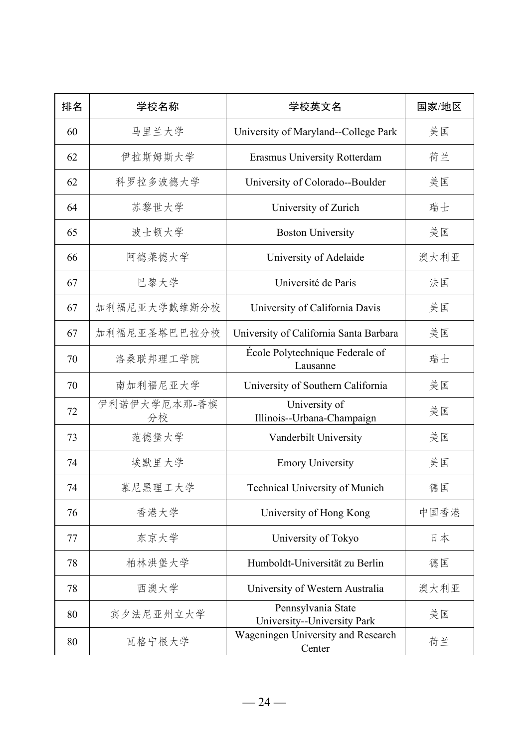| 排名 | 学校名称               | 学校英文名                                             | 国家/地区 |
|----|--------------------|---------------------------------------------------|-------|
| 60 | 马里兰大学              | University of Maryland--College Park              | 美国    |
| 62 | 伊拉斯姆斯大学            | Erasmus University Rotterdam                      | 荷兰    |
| 62 | 科罗拉多波德大学           | University of Colorado--Boulder                   | 美国    |
| 64 | 苏黎世大学              | University of Zurich                              | 瑞士    |
| 65 | 波士顿大学              | <b>Boston University</b>                          | 美国    |
| 66 | 阿德莱德大学             | University of Adelaide                            | 澳大利亚  |
| 67 | 巴黎大学               | Université de Paris                               | 法国    |
| 67 | 加利福尼亚大学戴维斯分校       | University of California Davis                    | 美国    |
| 67 | 加利福尼亚圣塔巴巴拉分校       | University of California Santa Barbara            | 美国    |
| 70 | 洛桑联邦理工学院           | École Polytechnique Federale of<br>Lausanne       | 瑞士    |
| 70 | 南加利福尼亚大学           | University of Southern California                 | 美国    |
| 72 | 伊利诺伊大学厄本那-香槟<br>分校 | University of<br>Illinois--Urbana-Champaign       | 美国    |
| 73 | 范德堡大学              | Vanderbilt University                             | 美国    |
| 74 | 埃默里大学              | <b>Emory University</b>                           | 美国    |
| 74 | 慕尼黑理工大学            | Technical University of Munich                    | 德国    |
| 76 | 香港大学               | University of Hong Kong                           | 中国香港  |
| 77 | 东京大学               | University of Tokyo                               | 日本    |
| 78 | 柏林洪堡大学             | Humboldt-Universität zu Berlin                    | 德国    |
| 78 | 西澳大学               | University of Western Australia                   | 澳大利亚  |
| 80 | 宾夕法尼亚州立大学          | Pennsylvania State<br>University--University Park | 美国    |
| 80 | 瓦格宁根大学             | Wageningen University and Research<br>Center      | 荷兰    |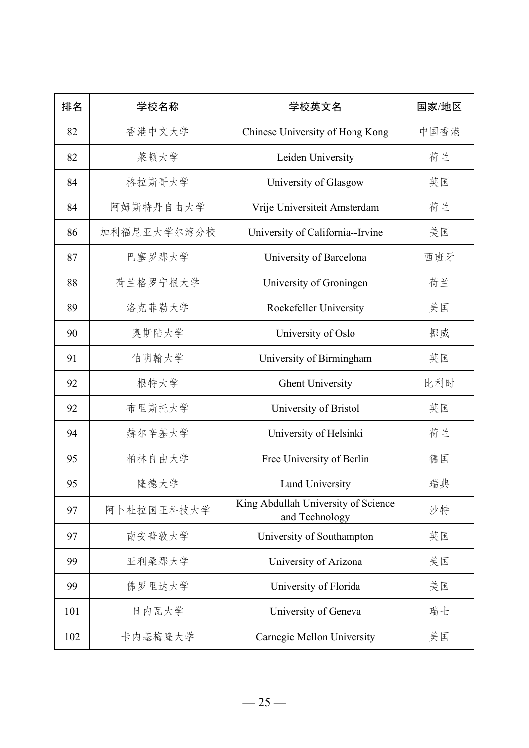| 排名  | 学校名称        | 学校英文名                                                 | 国家/地区 |
|-----|-------------|-------------------------------------------------------|-------|
| 82  | 香港中文大学      | Chinese University of Hong Kong                       | 中国香港  |
| 82  | 莱顿大学        | Leiden University                                     | 荷兰    |
| 84  | 格拉斯哥大学      | University of Glasgow                                 | 英国    |
| 84  | 阿姆斯特丹自由大学   | Vrije Universiteit Amsterdam                          | 荷兰    |
| 86  | 加利福尼亚大学尔湾分校 | University of California--Irvine                      | 美国    |
| 87  | 巴塞罗那大学      | University of Barcelona                               | 西班牙   |
| 88  | 荷兰格罗宁根大学    | University of Groningen                               | 荷兰    |
| 89  | 洛克菲勒大学      | Rockefeller University                                | 美国    |
| 90  | 奥斯陆大学       | University of Oslo                                    | 挪威    |
| 91  | 伯明翰大学       | University of Birmingham                              | 英国    |
| 92  | 根特大学        | <b>Ghent University</b>                               | 比利时   |
| 92  | 布里斯托大学      | University of Bristol                                 | 英国    |
| 94  | 赫尔辛基大学      | University of Helsinki                                | 荷兰    |
| 95  | 柏林自由大学      | Free University of Berlin                             | 德国    |
| 95  | 隆德大学        | Lund University                                       | 瑞典    |
| 97  | 阿卜杜拉国王科技大学  | King Abdullah University of Science<br>and Technology | 沙特    |
| 97  | 南安普敦大学      | University of Southampton                             | 英国    |
| 99  | 亚利桑那大学      | University of Arizona                                 | 美国    |
| 99  | 佛罗里达大学      | University of Florida                                 | 美国    |
| 101 | 日内瓦大学       | University of Geneva                                  | 瑞士    |
| 102 | 卡内基梅隆大学     | Carnegie Mellon University                            | 美国    |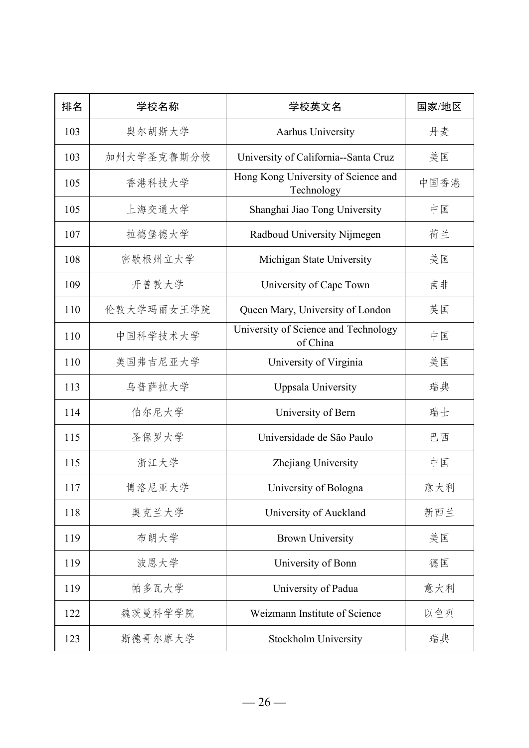| 排名  | 学校名称       | 学校英文名                                             | 国家/地区 |
|-----|------------|---------------------------------------------------|-------|
| 103 | 奥尔胡斯大学     | Aarhus University                                 | 丹麦    |
| 103 | 加州大学圣克鲁斯分校 | University of California--Santa Cruz              | 美国    |
| 105 | 香港科技大学     | Hong Kong University of Science and<br>Technology | 中国香港  |
| 105 | 上海交通大学     | Shanghai Jiao Tong University                     | 中国    |
| 107 | 拉德堡德大学     | Radboud University Nijmegen                       | 荷兰    |
| 108 | 密歇根州立大学    | Michigan State University                         | 美国    |
| 109 | 开普敦大学      | University of Cape Town                           | 南非    |
| 110 | 伦敦大学玛丽女王学院 | Queen Mary, University of London                  | 英国    |
| 110 | 中国科学技术大学   | University of Science and Technology<br>of China  | 中国    |
| 110 | 美国弗吉尼亚大学   | University of Virginia                            | 美国    |
| 113 | 乌普萨拉大学     | Uppsala University                                | 瑞典    |
| 114 | 伯尔尼大学      | University of Bern                                | 瑞士    |
| 115 | 圣保罗大学      | Universidade de São Paulo                         | 巴西    |
| 115 | 浙江大学       | Zhejiang University                               | 中国    |
| 117 | 博洛尼亚大学     | University of Bologna                             | 意大利   |
| 118 | 奥克兰大学      | University of Auckland                            | 新西兰   |
| 119 | 布朗大学       | <b>Brown University</b>                           | 美国    |
| 119 | 波恩大学       | University of Bonn                                | 德国    |
| 119 | 帕多瓦大学      | University of Padua                               | 意大利   |
| 122 | 魏茨曼科学学院    | Weizmann Institute of Science                     | 以色列   |
| 123 | 斯德哥尔摩大学    | Stockholm University                              | 瑞典    |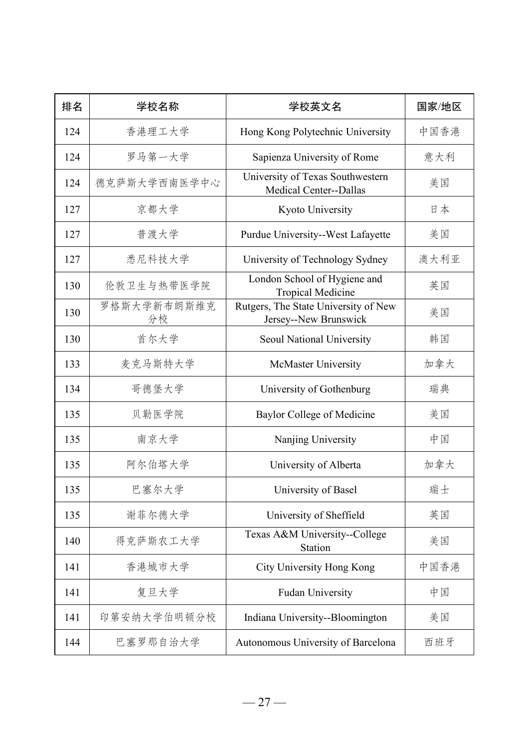| 排名  | 学校名称              | 学校英文名                                                         | 国家/地区 |
|-----|-------------------|---------------------------------------------------------------|-------|
| 124 | 香港理工大学            | Hong Kong Polytechnic University                              | 中国香港  |
| 124 | 罗马第一大学            | Sapienza University of Rome                                   | 意大利   |
| 124 | 德克萨斯大学西南医学中心      | University of Texas Southwestern<br>Medical Center--Dallas    | 美国    |
| 127 | 京都大学              | Kyoto University                                              | 日本    |
| 127 | 普渡大学              | Purdue University--West Lafayette                             | 美国    |
| 127 | 悉尼科技大学            | University of Technology Sydney                               | 澳大利亚  |
| 130 | 伦敦卫生与热带医学院        | London School of Hygiene and<br><b>Tropical Medicine</b>      | 英国    |
| 130 | 罗格斯大学新布朗斯维克<br>分校 | Rutgers, The State University of New<br>Jersey--New Brunswick | 美国    |
| 130 | 首尔大学              | Seoul National University                                     | 韩国    |
| 133 | 麦克马斯特大学           | McMaster University                                           | 加拿大   |
| 134 | 哥德堡大学             | University of Gothenburg                                      | 瑞典    |
| 135 | 贝勒医学院             | <b>Baylor College of Medicine</b>                             | 美国    |
| 135 | 南京大学              | Nanjing University                                            | 中国    |
| 135 | 阿尔伯塔大学            | University of Alberta                                         | 加拿大   |
| 135 | 巴塞尔大学             | University of Basel                                           | 瑞士    |
| 135 | 谢菲尔德大学            | University of Sheffield                                       | 英国    |
| 140 | 得克萨斯农工大学          | Texas A&M University--College<br>Station                      | 美国    |
| 141 | 香港城市大学            | City University Hong Kong                                     | 中国香港  |
| 141 | 复旦大学              | Fudan University                                              | 中国    |
| 141 | 印第安纳大学伯明顿分校       | Indiana University--Bloomington                               | 美国    |
| 144 | 巴塞罗那自治大学          | Autonomous University of Barcelona                            | 西班牙   |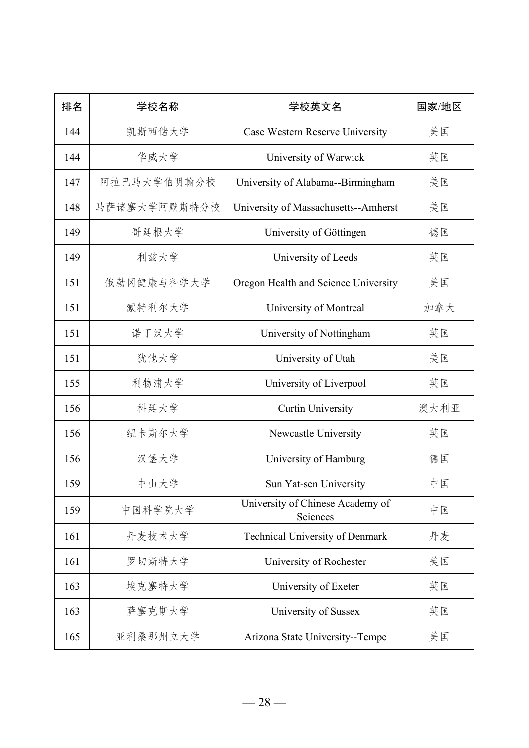| 排名  | 学校名称         | 学校英文名                                        | 国家/地区 |
|-----|--------------|----------------------------------------------|-------|
| 144 | 凯斯西储大学       | Case Western Reserve University              | 美国    |
| 144 | 华威大学         | University of Warwick                        | 英国    |
| 147 | 阿拉巴马大学伯明翰分校  | University of Alabama--Birmingham            | 美国    |
| 148 | 马萨诸塞大学阿默斯特分校 | University of Massachusetts--Amherst         | 美国    |
| 149 | 哥廷根大学        | University of Göttingen                      | 德国    |
| 149 | 利兹大学         | University of Leeds                          | 英国    |
| 151 | 俄勒冈健康与科学大学   | Oregon Health and Science University         | 美国    |
| 151 | 蒙特利尔大学       | University of Montreal                       | 加拿大   |
| 151 | 诺丁汉大学        | University of Nottingham                     | 英国    |
| 151 | 犹他大学         | University of Utah                           | 美国    |
| 155 | 利物浦大学        | University of Liverpool                      | 英国    |
| 156 | 科廷大学         | <b>Curtin University</b>                     | 澳大利亚  |
| 156 | 纽卡斯尔大学       | Newcastle University                         | 英国    |
| 156 | 汉堡大学         | University of Hamburg                        | 德国    |
| 159 | 中山大学         | Sun Yat-sen University                       | 中国    |
| 159 | 中国科学院大学      | University of Chinese Academy of<br>Sciences | 中国    |
| 161 | 丹麦技术大学       | Technical University of Denmark              | 丹麦    |
| 161 | 罗切斯特大学       | University of Rochester                      | 美国    |
| 163 | 埃克塞特大学       | University of Exeter                         | 英国    |
| 163 | 萨塞克斯大学       | University of Sussex                         | 英国    |
| 165 | 亚利桑那州立大学     | Arizona State University--Tempe              | 美国    |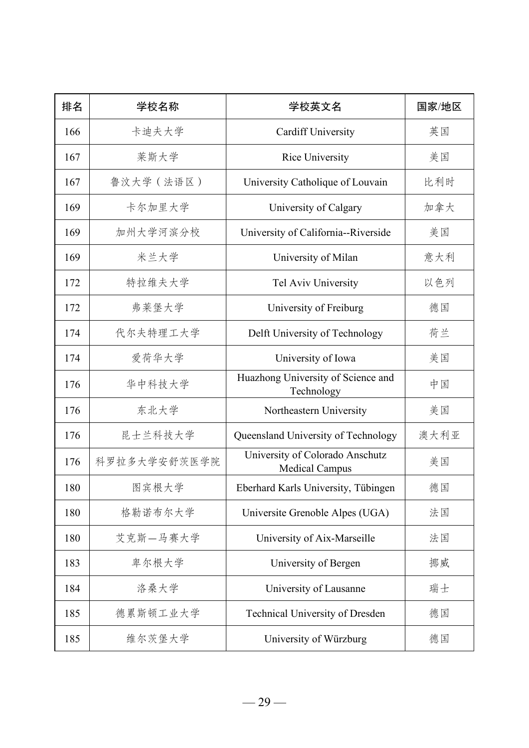| 排名  | 学校名称         | 学校英文名                                                    | 国家/地区 |
|-----|--------------|----------------------------------------------------------|-------|
| 166 | 卡迪夫大学        | <b>Cardiff University</b>                                | 英国    |
| 167 | 莱斯大学         | Rice University                                          | 美国    |
| 167 | 鲁汶大学 (法语区)   | University Catholique of Louvain                         | 比利时   |
| 169 | 卡尔加里大学       | University of Calgary                                    | 加拿大   |
| 169 | 加州大学河滨分校     | University of California--Riverside                      | 美国    |
| 169 | 米兰大学         | University of Milan                                      | 意大利   |
| 172 | 特拉维夫大学       | Tel Aviv University                                      | 以色列   |
| 172 | 弗莱堡大学        | University of Freiburg                                   | 德国    |
| 174 | 代尔夫特理工大学     | Delft University of Technology                           | 荷兰    |
| 174 | 爱荷华大学        | University of Iowa                                       | 美国    |
| 176 | 华中科技大学       | Huazhong University of Science and<br>Technology         | 中国    |
| 176 | 东北大学         | Northeastern University                                  | 美国    |
| 176 | 昆士兰科技大学      | Queensland University of Technology                      | 澳大利亚  |
| 176 | 科罗拉多大学安舒茨医学院 | University of Colorado Anschutz<br><b>Medical Campus</b> | 美国    |
| 180 | 图宾根大学        | Eberhard Karls University, Tübingen                      | 德国    |
| 180 | 格勒诺布尔大学      | Universite Grenoble Alpes (UGA)                          | 法国    |
| 180 | 艾克斯—马赛大学     | University of Aix-Marseille                              | 法国    |
| 183 | 卑尔根大学        | University of Bergen                                     | 挪威    |
| 184 | 洛桑大学         | University of Lausanne                                   | 瑞士    |
| 185 | 德累斯顿工业大学     | Technical University of Dresden                          | 德国    |
| 185 | 维尔茨堡大学       | University of Würzburg                                   | 德国    |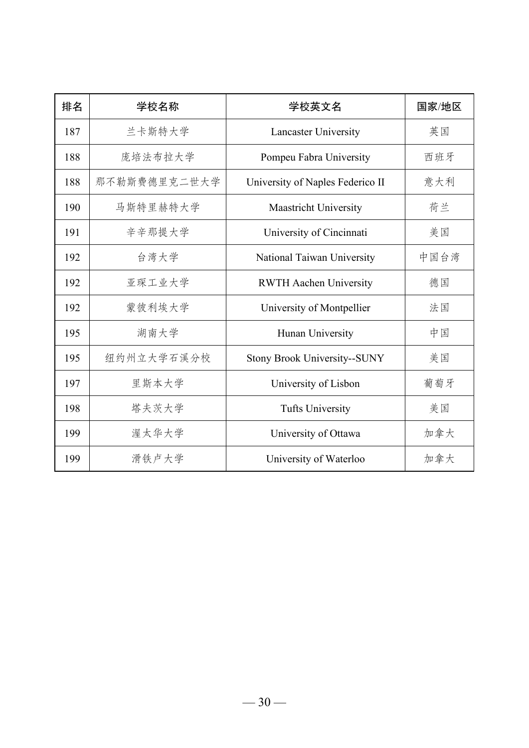| 排名  | 学校名称         | 学校英文名                               | 国家/地区 |
|-----|--------------|-------------------------------------|-------|
| 187 | 兰卡斯特大学       | Lancaster University                | 英国    |
| 188 | 庞培法布拉大学      | Pompeu Fabra University             | 西班牙   |
| 188 | 那不勒斯费德里克二世大学 | University of Naples Federico II    | 意大利   |
| 190 | 马斯特里赫特大学     | Maastricht University               | 荷兰    |
| 191 | 辛辛那提大学       | University of Cincinnati            | 美国    |
| 192 | 台湾大学         | National Taiwan University          | 中国台湾  |
| 192 | 亚琛工业大学       | <b>RWTH Aachen University</b>       | 德国    |
| 192 | 蒙彼利埃大学       | University of Montpellier           | 法国    |
| 195 | 湖南大学         | Hunan University                    | 中国    |
| 195 | 纽约州立大学石溪分校   | <b>Stony Brook University--SUNY</b> | 美国    |
| 197 | 里斯本大学        | University of Lisbon                | 葡萄牙   |
| 198 | 塔夫茨大学        | <b>Tufts University</b>             | 美国    |
| 199 | 渥太华大学        | University of Ottawa                | 加拿大   |
| 199 | 滑铁卢大学        | University of Waterloo              | 加拿大   |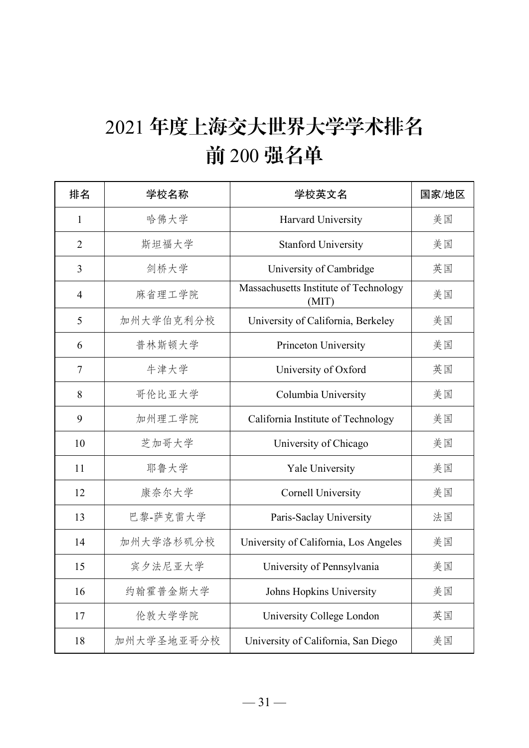# 年度上海交大世界大学学术排名 前 200 强名单

| 排名             | 学校名称       | 学校英文名                                          | 国家/地区 |
|----------------|------------|------------------------------------------------|-------|
| $\mathbf{1}$   | 哈佛大学       | Harvard University                             | 美国    |
| $\overline{2}$ | 斯坦福大学      | <b>Stanford University</b>                     | 美国    |
| $\overline{3}$ | 剑桥大学       | University of Cambridge                        | 英国    |
| $\overline{4}$ | 麻省理工学院     | Massachusetts Institute of Technology<br>(MIT) | 美国    |
| 5              | 加州大学伯克利分校  | University of California, Berkeley             | 美国    |
| 6              | 普林斯顿大学     | Princeton University                           | 美国    |
| $\tau$         | 牛津大学       | University of Oxford                           | 英国    |
| 8              | 哥伦比亚大学     | Columbia University                            | 美国    |
| 9              | 加州理工学院     | California Institute of Technology             | 美国    |
| 10             | 芝加哥大学      | University of Chicago                          | 美国    |
| 11             | 耶鲁大学       | Yale University                                | 美国    |
| 12             | 康奈尔大学      | <b>Cornell University</b>                      | 美国    |
| 13             | 巴黎-萨克雷大学   | Paris-Saclay University                        | 法国    |
| 14             | 加州大学洛杉矶分校  | University of California, Los Angeles          | 美国    |
| 15             | 宾夕法尼亚大学    | University of Pennsylvania                     | 美国    |
| 16             | 约翰霍普金斯大学   | Johns Hopkins University                       | 美国    |
| 17             | 伦敦大学学院     | University College London                      | 英国    |
| 18             | 加州大学圣地亚哥分校 | University of California, San Diego            | 美国    |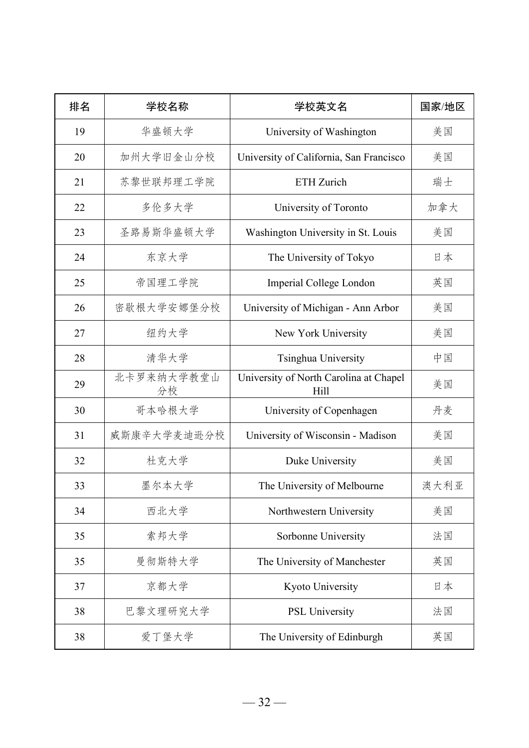| 排名 | 学校名称             | 学校英文名                                          | 国家/地区 |
|----|------------------|------------------------------------------------|-------|
| 19 | 华盛顿大学            | University of Washington                       | 美国    |
| 20 | 加州大学旧金山分校        | University of California, San Francisco        | 美国    |
| 21 | 苏黎世联邦理工学院        | ETH Zurich                                     | 瑞士    |
| 22 | 多伦多大学            | University of Toronto                          | 加拿大   |
| 23 | 圣路易斯华盛顿大学        | Washington University in St. Louis             | 美国    |
| 24 | 东京大学             | The University of Tokyo                        | 日本    |
| 25 | 帝国理工学院           | Imperial College London                        | 英国    |
| 26 | 密歇根大学安娜堡分校       | University of Michigan - Ann Arbor             | 美国    |
| 27 | 纽约大学             | New York University                            | 美国    |
| 28 | 清华大学             | Tsinghua University                            | 中国    |
| 29 | 北卡罗来纳大学教堂山<br>分校 | University of North Carolina at Chapel<br>Hill | 美国    |
| 30 | 哥本哈根大学           | University of Copenhagen                       | 丹麦    |
| 31 | 威斯康辛大学麦迪逊分校      | University of Wisconsin - Madison              | 美国    |
| 32 | 杜克大学             | Duke University                                | 美国    |
| 33 | 墨尔本大学            | The University of Melbourne                    | 澳大利亚  |
| 34 | 西北大学             | Northwestern University                        | 美国    |
| 35 | 索邦大学             | Sorbonne University                            | 法国    |
| 35 | 曼彻斯特大学           | The University of Manchester                   | 英国    |
| 37 | 京都大学             | Kyoto University                               | 日本    |
| 38 | 巴黎文理研究大学         | PSL University                                 | 法国    |
| 38 | 爱丁堡大学            | The University of Edinburgh                    | 英国    |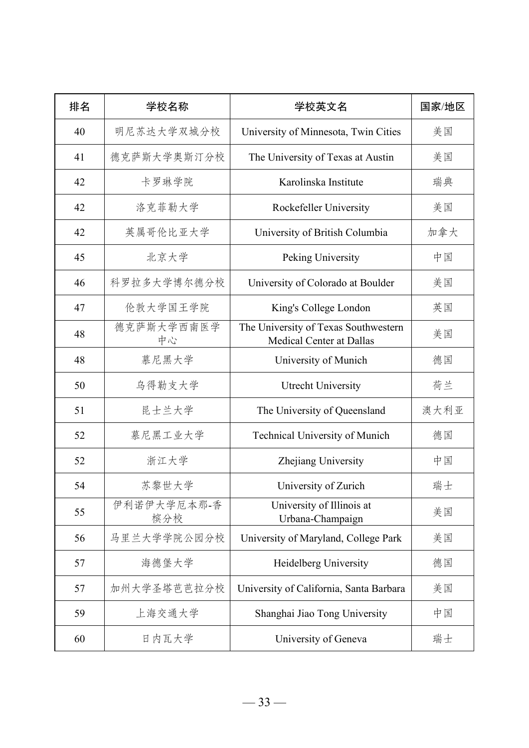| 排名 | 学校名称               | 学校英文名                                                                   | 国家/地区 |
|----|--------------------|-------------------------------------------------------------------------|-------|
| 40 | 明尼苏达大学双城分校         | University of Minnesota, Twin Cities                                    | 美国    |
| 41 | 德克萨斯大学奥斯汀分校        | The University of Texas at Austin                                       | 美国    |
| 42 | 卡罗琳学院              | Karolinska Institute                                                    | 瑞典    |
| 42 | 洛克菲勒大学             | Rockefeller University                                                  | 美国    |
| 42 | 英属哥伦比亚大学           | University of British Columbia                                          | 加拿大   |
| 45 | 北京大学               | Peking University                                                       | 中国    |
| 46 | 科罗拉多大学博尔德分校        | University of Colorado at Boulder                                       | 美国    |
| 47 | 伦敦大学国王学院           | King's College London                                                   | 英国    |
| 48 | 德克萨斯大学西南医学<br>中心   | The University of Texas Southwestern<br><b>Medical Center at Dallas</b> | 美国    |
| 48 | 慕尼黑大学              | University of Munich                                                    | 德国    |
| 50 | 乌得勒支大学             | Utrecht University                                                      | 荷兰    |
| 51 | 昆士兰大学              | The University of Queensland                                            | 澳大利亚  |
| 52 | 慕尼黑工业大学            | Technical University of Munich                                          | 德国    |
| 52 | 浙江大学               | Zhejiang University                                                     | 中国    |
| 54 | 苏黎世大学              | University of Zurich                                                    | 瑞士    |
| 55 | 伊利诺伊大学厄本那-香<br>槟分校 | University of Illinois at<br>Urbana-Champaign                           | 美国    |
| 56 | 马里兰大学学院公园分校        | University of Maryland, College Park                                    | 美国    |
| 57 | 海德堡大学              | Heidelberg University                                                   | 德国    |
| 57 | 加州大学圣塔芭芭拉分校        | University of California, Santa Barbara                                 | 美国    |
| 59 | 上海交通大学             | Shanghai Jiao Tong University                                           | 中国    |
| 60 | 日内瓦大学              | University of Geneva                                                    | 瑞士    |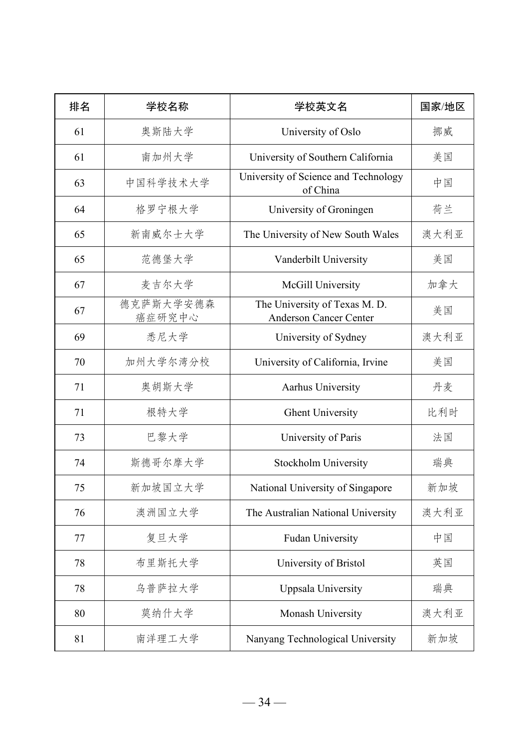| 排名 | 学校名称                | 学校英文名                                                          | 国家/地区 |
|----|---------------------|----------------------------------------------------------------|-------|
| 61 | 奥斯陆大学               | University of Oslo                                             | 挪威    |
| 61 | 南加州大学               | University of Southern California                              | 美国    |
| 63 | 中国科学技术大学            | University of Science and Technology<br>of China               | 中国    |
| 64 | 格罗宁根大学              | University of Groningen                                        | 荷兰    |
| 65 | 新南威尔士大学             | The University of New South Wales                              | 澳大利亚  |
| 65 | 范德堡大学               | Vanderbilt University                                          | 美国    |
| 67 | 麦吉尔大学               | McGill University                                              | 加拿大   |
| 67 | 德克萨斯大学安德森<br>癌症研究中心 | The University of Texas M. D.<br><b>Anderson Cancer Center</b> | 美国    |
| 69 | 悉尼大学                | University of Sydney                                           | 澳大利亚  |
| 70 | 加州大学尔湾分校            | University of California, Irvine                               | 美国    |
| 71 | 奥胡斯大学               | Aarhus University                                              | 丹麦    |
| 71 | 根特大学                | <b>Ghent University</b>                                        | 比利时   |
| 73 | 巴黎大学                | University of Paris                                            | 法国    |
| 74 | 斯德哥尔摩大学             | Stockholm University                                           | 瑞典    |
| 75 | 新加坡国立大学             | National University of Singapore                               | 新加坡   |
| 76 | 澳洲国立大学              | The Australian National University                             | 澳大利亚  |
| 77 | 复旦大学                | Fudan University                                               | 中国    |
| 78 | 布里斯托大学              | University of Bristol                                          | 英国    |
| 78 | 乌普萨拉大学              | Uppsala University                                             | 瑞典    |
| 80 | 莫纳什大学               | Monash University                                              | 澳大利亚  |
| 81 | 南洋理工大学              | Nanyang Technological University                               | 新加坡   |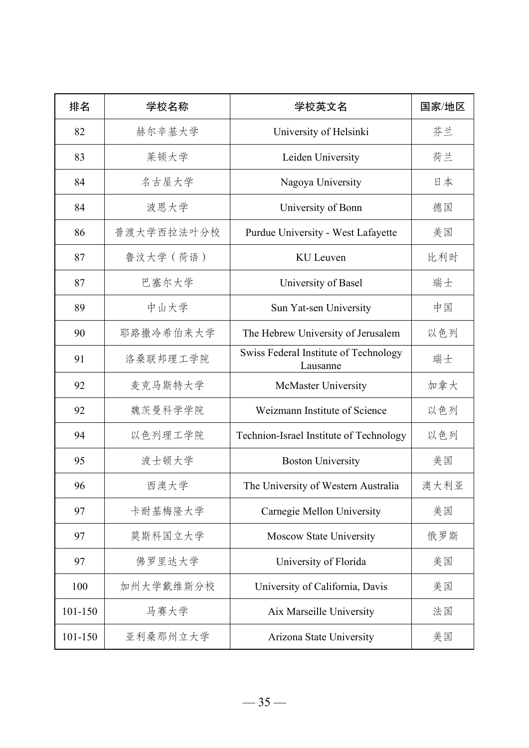| 排名      | 学校名称       | 学校英文名                                             | 国家/地区 |
|---------|------------|---------------------------------------------------|-------|
| 82      | 赫尔辛基大学     | University of Helsinki                            | 芬兰    |
| 83      | 莱顿大学       | Leiden University                                 | 荷兰    |
| 84      | 名古屋大学      | Nagoya University                                 | 日本    |
| 84      | 波恩大学       | University of Bonn                                | 德国    |
| 86      | 普渡大学西拉法叶分校 | Purdue University - West Lafayette                | 美国    |
| 87      | 鲁汶大学 (荷语)  | KU Leuven                                         | 比利时   |
| 87      | 巴塞尔大学      | University of Basel                               | 瑞士    |
| 89      | 中山大学       | Sun Yat-sen University                            | 中国    |
| 90      | 耶路撒冷希伯来大学  | The Hebrew University of Jerusalem                | 以色列   |
| 91      | 洛桑联邦理工学院   | Swiss Federal Institute of Technology<br>Lausanne | 瑞士    |
| 92      | 麦克马斯特大学    | McMaster University                               | 加拿大   |
| 92      | 魏茨曼科学学院    | Weizmann Institute of Science                     | 以色列   |
| 94      | 以色列理工学院    | Technion-Israel Institute of Technology           | 以色列   |
| 95      | 波士顿大学      | <b>Boston University</b>                          | 美国    |
| 96      | 西澳大学       | The University of Western Australia               | 澳大利亚  |
| 97      | 卡耐基梅隆大学    | Carnegie Mellon University                        | 美国    |
| 97      | 莫斯科国立大学    | Moscow State University                           | 俄罗斯   |
| 97      | 佛罗里达大学     | University of Florida                             | 美国    |
| 100     | 加州大学戴维斯分校  | University of California, Davis                   | 美国    |
| 101-150 | 马赛大学       | Aix Marseille University                          | 法国    |
| 101-150 | 亚利桑那州立大学   | Arizona State University                          | 美国    |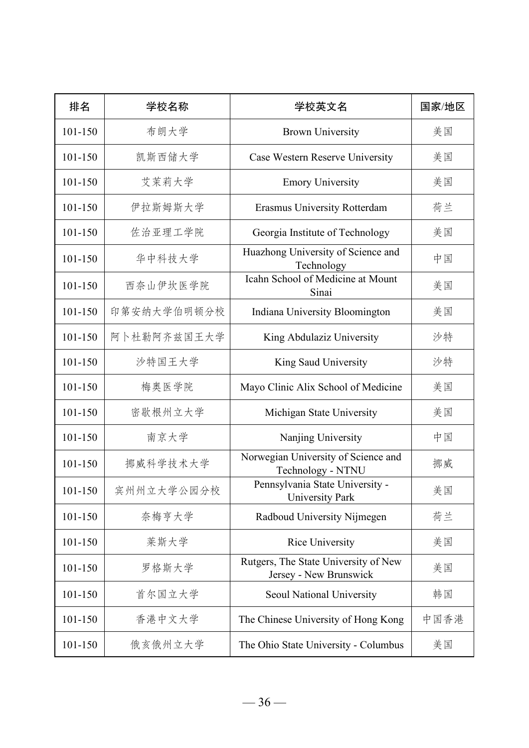| 排名          | 学校名称        | 学校英文名                                                          | 国家/地区 |
|-------------|-------------|----------------------------------------------------------------|-------|
| 101-150     | 布朗大学        | <b>Brown University</b>                                        | 美国    |
| 101-150     | 凯斯西储大学      | Case Western Reserve University                                | 美国    |
| 101-150     | 艾茉莉大学       | <b>Emory University</b>                                        | 美国    |
| 101-150     | 伊拉斯姆斯大学     | Erasmus University Rotterdam                                   | 荷兰    |
| 101-150     | 佐治亚理工学院     | Georgia Institute of Technology                                | 美国    |
| 101-150     | 华中科技大学      | Huazhong University of Science and<br>Technology               | 中国    |
| 101-150     | 西奈山伊坎医学院    | Icahn School of Medicine at Mount<br>Sinai                     | 美国    |
| 101-150     | 印第安纳大学伯明顿分校 | Indiana University Bloomington                                 | 美国    |
| $101 - 150$ | 阿卜杜勒阿齐兹国王大学 | King Abdulaziz University                                      | 沙特    |
| 101-150     | 沙特国王大学      | King Saud University                                           | 沙特    |
| 101-150     | 梅奥医学院       | Mayo Clinic Alix School of Medicine                            | 美国    |
| $101 - 150$ | 密歇根州立大学     | Michigan State University                                      | 美国    |
| 101-150     | 南京大学        | Nanjing University                                             | 中国    |
| 101-150     | 挪威科学技术大学    | Norwegian University of Science and<br>Technology - NTNU       | 挪威    |
| 101-150     | 宾州州立大学公园分校  | Pennsylvania State University -<br><b>University Park</b>      | 美国    |
| 101-150     | 奈梅亨大学       | Radboud University Nijmegen                                    | 荷兰    |
| 101-150     | 莱斯大学        | <b>Rice University</b>                                         | 美国    |
| 101-150     | 罗格斯大学       | Rutgers, The State University of New<br>Jersey - New Brunswick | 美国    |
| $101 - 150$ | 首尔国立大学      | Seoul National University                                      | 韩国    |
| 101-150     | 香港中文大学      | The Chinese University of Hong Kong                            | 中国香港  |
| 101-150     | 俄亥俄州立大学     | The Ohio State University - Columbus                           | 美国    |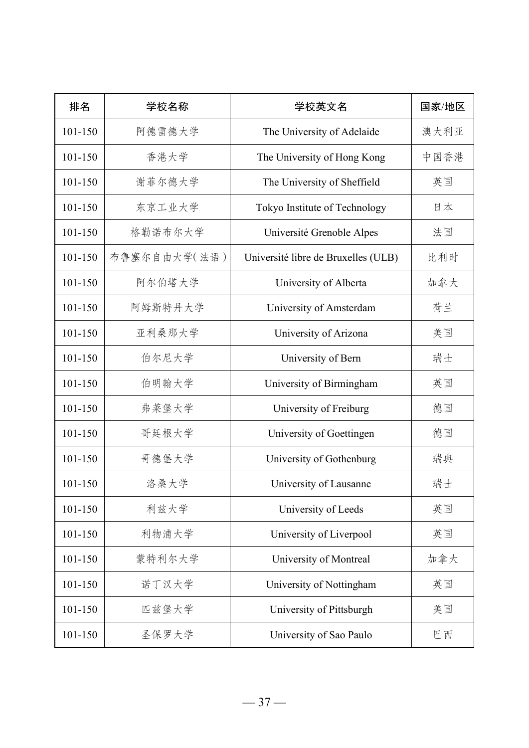| 排名          | 学校名称         | 学校英文名                               | 国家/地区 |
|-------------|--------------|-------------------------------------|-------|
| 101-150     | 阿德雷德大学       | The University of Adelaide          | 澳大利亚  |
| 101-150     | 香港大学         | The University of Hong Kong         | 中国香港  |
| $101 - 150$ | 谢菲尔德大学       | The University of Sheffield         | 英国    |
| $101 - 150$ | 东京工业大学       | Tokyo Institute of Technology       | 日本    |
| 101-150     | 格勒诺布尔大学      | Université Grenoble Alpes           | 法国    |
| 101-150     | 布鲁塞尔自由大学(法语) | Université libre de Bruxelles (ULB) | 比利时   |
| $101 - 150$ | 阿尔伯塔大学       | University of Alberta               | 加拿大   |
| 101-150     | 阿姆斯特丹大学      | University of Amsterdam             | 荷兰    |
| 101-150     | 亚利桑那大学       | University of Arizona               | 美国    |
| $101 - 150$ | 伯尔尼大学        | University of Bern                  | 瑞士    |
| 101-150     | 伯明翰大学        | University of Birmingham            | 英国    |
| 101-150     | 弗莱堡大学        | University of Freiburg              | 德国    |
| $101 - 150$ | 哥廷根大学        | University of Goettingen            | 德国    |
| $101 - 150$ | 哥德堡大学        | University of Gothenburg            | 瑞典    |
| 101-150     | 洛桑大学         | University of Lausanne              | 瑞士    |
| $101 - 150$ | 利兹大学         | University of Leeds                 | 英国    |
| $101 - 150$ | 利物浦大学        | University of Liverpool             | 英国    |
| $101 - 150$ | 蒙特利尔大学       | University of Montreal              | 加拿大   |
| $101 - 150$ | 诺丁汉大学        | University of Nottingham            | 英国    |
| $101 - 150$ | 匹兹堡大学        | University of Pittsburgh            | 美国    |
| 101-150     | 圣保罗大学        | University of Sao Paulo             | 巴西    |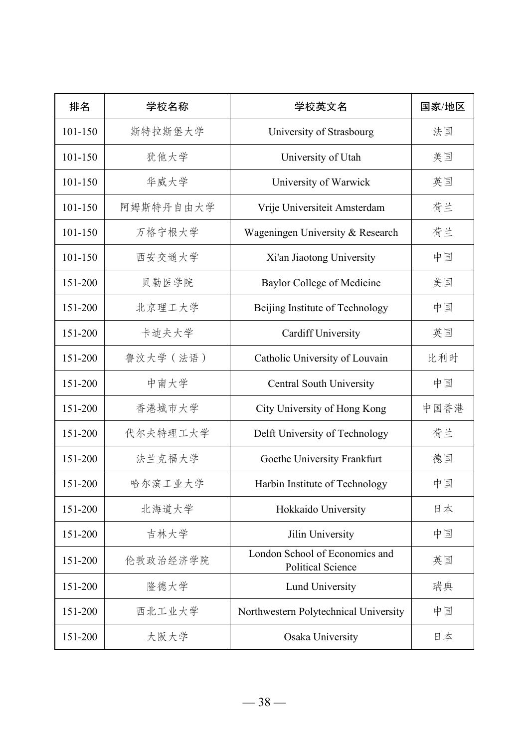| 排名      | 学校名称      | 学校英文名                                                      | 国家/地区 |
|---------|-----------|------------------------------------------------------------|-------|
| 101-150 | 斯特拉斯堡大学   | University of Strasbourg                                   | 法国    |
| 101-150 | 犹他大学      | University of Utah                                         | 美国    |
| 101-150 | 华威大学      | University of Warwick                                      | 英国    |
| 101-150 | 阿姆斯特丹自由大学 | Vrije Universiteit Amsterdam                               | 荷兰    |
| 101-150 | 万格宁根大学    | Wageningen University & Research                           | 荷兰    |
| 101-150 | 西安交通大学    | Xi'an Jiaotong University                                  | 中国    |
| 151-200 | 贝勒医学院     | <b>Baylor College of Medicine</b>                          | 美国    |
| 151-200 | 北京理工大学    | Beijing Institute of Technology                            | 中国    |
| 151-200 | 卡迪夫大学     | <b>Cardiff University</b>                                  | 英国    |
| 151-200 | 鲁汶大学 (法语) | Catholic University of Louvain                             | 比利时   |
| 151-200 | 中南大学      | <b>Central South University</b>                            | 中国    |
| 151-200 | 香港城市大学    | City University of Hong Kong                               | 中国香港  |
| 151-200 | 代尔夫特理工大学  | Delft University of Technology                             | 荷兰    |
| 151-200 | 法兰克福大学    | Goethe University Frankfurt                                | 德国    |
| 151-200 | 哈尔滨工业大学   | Harbin Institute of Technology                             | 中国    |
| 151-200 | 北海道大学     | Hokkaido University                                        | 日本    |
| 151-200 | 吉林大学      | Jilin University                                           | 中国    |
| 151-200 | 伦敦政治经济学院  | London School of Economics and<br><b>Political Science</b> | 英国    |
| 151-200 | 隆德大学      | Lund University                                            | 瑞典    |
| 151-200 | 西北工业大学    | Northwestern Polytechnical University                      | 中国    |
| 151-200 | 大阪大学      | Osaka University                                           | 日本    |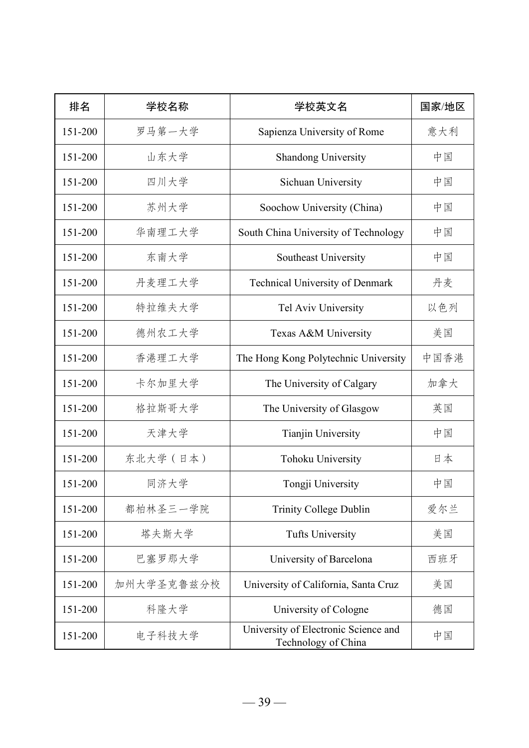| 排名      | 学校名称       | 学校英文名                                                       | 国家/地区 |
|---------|------------|-------------------------------------------------------------|-------|
| 151-200 | 罗马第一大学     | Sapienza University of Rome                                 | 意大利   |
| 151-200 | 山东大学       | <b>Shandong University</b>                                  | 中国    |
| 151-200 | 四川大学       | Sichuan University                                          | 中国    |
| 151-200 | 苏州大学       | Soochow University (China)                                  | 中国    |
| 151-200 | 华南理工大学     | South China University of Technology                        | 中国    |
| 151-200 | 东南大学       | Southeast University                                        | 中国    |
| 151-200 | 丹麦理工大学     | Technical University of Denmark                             | 丹麦    |
| 151-200 | 特拉维夫大学     | Tel Aviv University                                         | 以色列   |
| 151-200 | 德州农工大学     | Texas A&M University                                        | 美国    |
| 151-200 | 香港理工大学     | The Hong Kong Polytechnic University                        | 中国香港  |
| 151-200 | 卡尔加里大学     | The University of Calgary                                   | 加拿大   |
| 151-200 | 格拉斯哥大学     | The University of Glasgow                                   | 英国    |
| 151-200 | 天津大学       | Tianjin University                                          | 中国    |
| 151-200 | 东北大学 (日本)  | Tohoku University                                           | 日本    |
| 151-200 | 同济大学       | Tongji University                                           | 中国    |
| 151-200 | 都柏林圣三一学院   | <b>Trinity College Dublin</b>                               | 爱尔兰   |
| 151-200 | 塔夫斯大学      | <b>Tufts University</b>                                     | 美国    |
| 151-200 | 巴塞罗那大学     | University of Barcelona                                     | 西班牙   |
| 151-200 | 加州大学圣克鲁兹分校 | University of California, Santa Cruz                        | 美国    |
| 151-200 | 科隆大学       | University of Cologne                                       | 德国    |
| 151-200 | 电子科技大学     | University of Electronic Science and<br>Technology of China | 中国    |